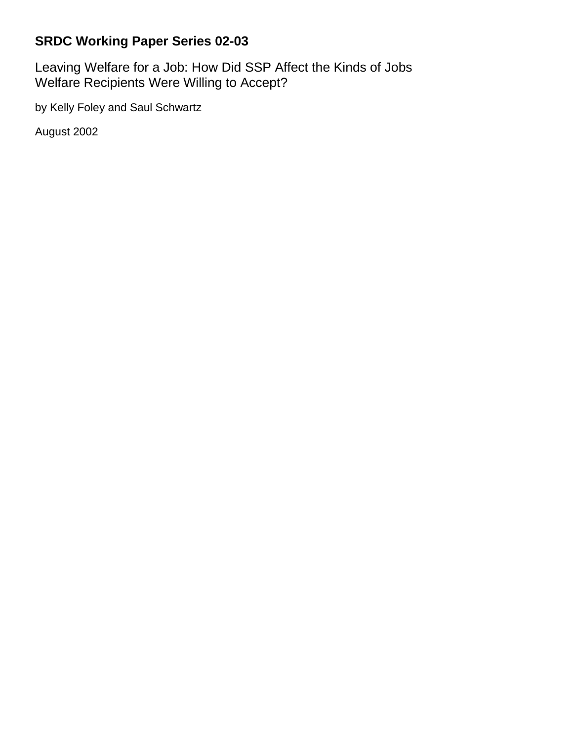## **SRDC Working Paper Series 02-03**

Leaving Welfare for a Job: How Did SSP Affect the Kinds of Jobs Welfare Recipients Were Willing to Accept?

by Kelly Foley and Saul Schwartz

August 2002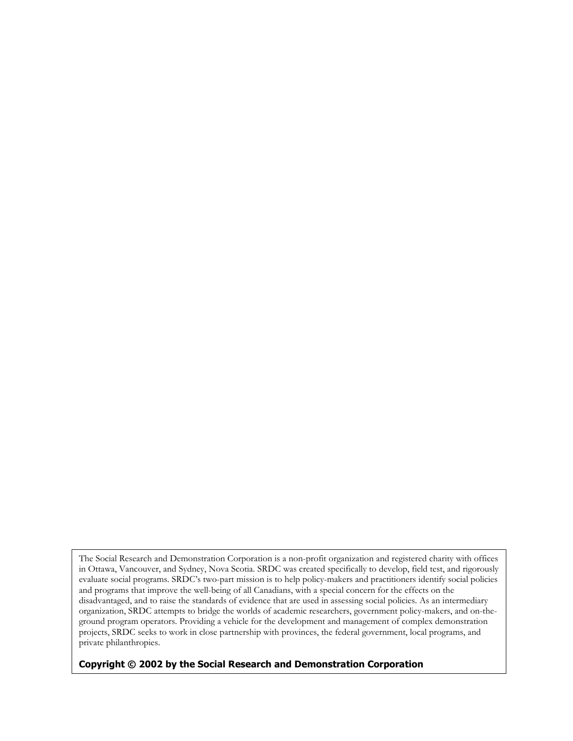The Social Research and Demonstration Corporation is a non-profit organization and registered charity with offices in Ottawa, Vancouver, and Sydney, Nova Scotia. SRDC was created specifically to develop, field test, and rigorously evaluate social programs. SRDC's two-part mission is to help policy-makers and practitioners identify social policies and programs that improve the well-being of all Canadians, with a special concern for the effects on the disadvantaged, and to raise the standards of evidence that are used in assessing social policies. As an intermediary organization, SRDC attempts to bridge the worlds of academic researchers, government policy-makers, and on-theground program operators. Providing a vehicle for the development and management of complex demonstration projects, SRDC seeks to work in close partnership with provinces, the federal government, local programs, and private philanthropies.

#### **Copyright © 2002 by the Social Research and Demonstration Corporation**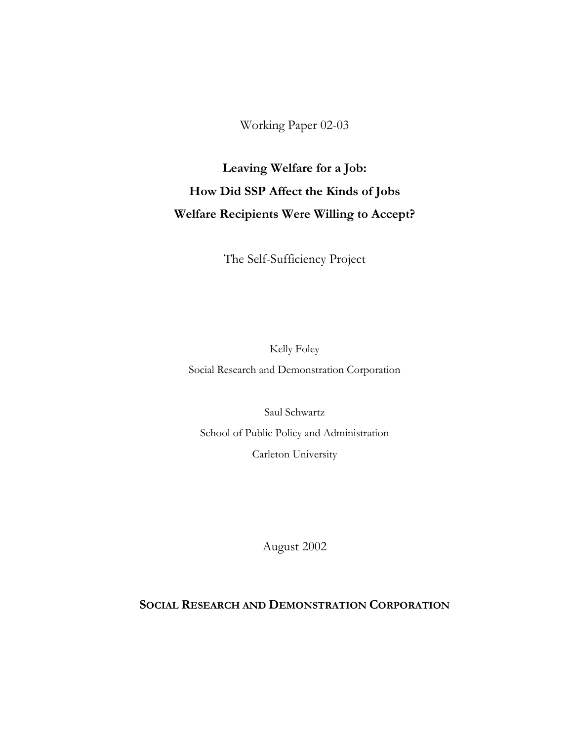Working Paper 02-03

# **Leaving Welfare for a Job: How Did SSP Affect the Kinds of Jobs Welfare Recipients Were Willing to Accept?**

The Self-Sufficiency Project

Kelly Foley

Social Research and Demonstration Corporation

Saul Schwartz School of Public Policy and Administration Carleton University

August 2002

**SOCIAL RESEARCH AND DEMONSTRATION CORPORATION**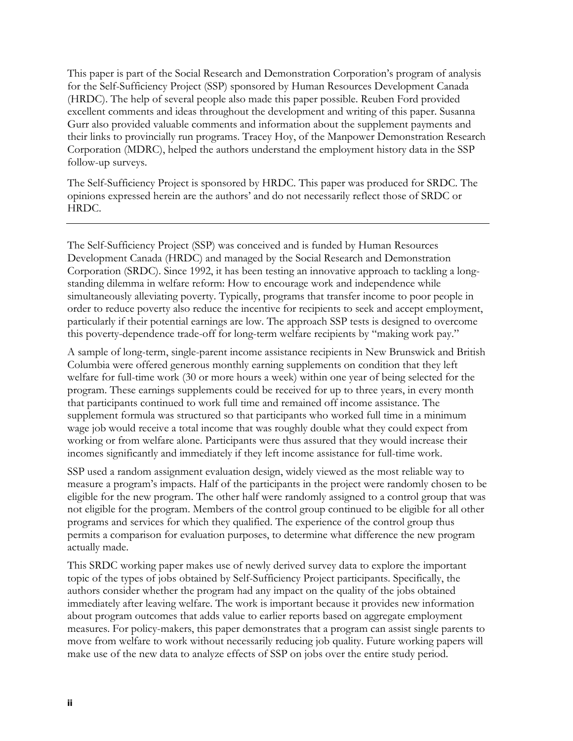This paper is part of the Social Research and Demonstration Corporation's program of analysis for the Self-Sufficiency Project (SSP) sponsored by Human Resources Development Canada (HRDC). The help of several people also made this paper possible. Reuben Ford provided excellent comments and ideas throughout the development and writing of this paper. Susanna Gurr also provided valuable comments and information about the supplement payments and their links to provincially run programs. Tracey Hoy, of the Manpower Demonstration Research Corporation (MDRC), helped the authors understand the employment history data in the SSP follow-up surveys.

The Self-Sufficiency Project is sponsored by HRDC. This paper was produced for SRDC. The opinions expressed herein are the authors' and do not necessarily reflect those of SRDC or HRDC.

The Self-Sufficiency Project (SSP) was conceived and is funded by Human Resources Development Canada (HRDC) and managed by the Social Research and Demonstration Corporation (SRDC). Since 1992, it has been testing an innovative approach to tackling a longstanding dilemma in welfare reform: How to encourage work and independence while simultaneously alleviating poverty. Typically, programs that transfer income to poor people in order to reduce poverty also reduce the incentive for recipients to seek and accept employment, particularly if their potential earnings are low. The approach SSP tests is designed to overcome this poverty-dependence trade-off for long-term welfare recipients by "making work pay."

A sample of long-term, single-parent income assistance recipients in New Brunswick and British Columbia were offered generous monthly earning supplements on condition that they left welfare for full-time work (30 or more hours a week) within one year of being selected for the program. These earnings supplements could be received for up to three years, in every month that participants continued to work full time and remained off income assistance. The supplement formula was structured so that participants who worked full time in a minimum wage job would receive a total income that was roughly double what they could expect from working or from welfare alone. Participants were thus assured that they would increase their incomes significantly and immediately if they left income assistance for full-time work.

SSP used a random assignment evaluation design, widely viewed as the most reliable way to measure a program's impacts. Half of the participants in the project were randomly chosen to be eligible for the new program. The other half were randomly assigned to a control group that was not eligible for the program. Members of the control group continued to be eligible for all other programs and services for which they qualified. The experience of the control group thus permits a comparison for evaluation purposes, to determine what difference the new program actually made.

This SRDC working paper makes use of newly derived survey data to explore the important topic of the types of jobs obtained by Self-Sufficiency Project participants. Specifically, the authors consider whether the program had any impact on the quality of the jobs obtained immediately after leaving welfare. The work is important because it provides new information about program outcomes that adds value to earlier reports based on aggregate employment measures. For policy-makers, this paper demonstrates that a program can assist single parents to move from welfare to work without necessarily reducing job quality. Future working papers will make use of the new data to analyze effects of SSP on jobs over the entire study period.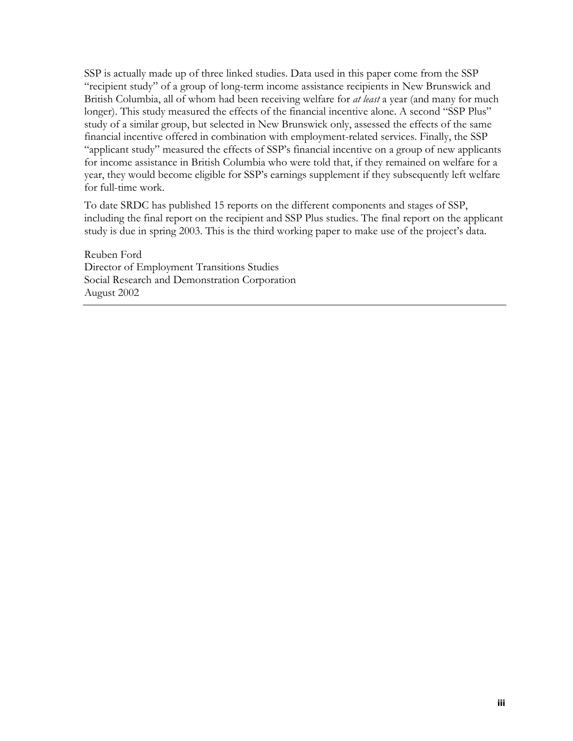SSP is actually made up of three linked studies. Data used in this paper come from the SSP "recipient study" of a group of long-term income assistance recipients in New Brunswick and British Columbia, all of whom had been receiving welfare for *at least* a year (and many for much longer). This study measured the effects of the financial incentive alone. A second "SSP Plus" study of a similar group, but selected in New Brunswick only, assessed the effects of the same financial incentive offered in combination with employment-related services. Finally, the SSP "applicant study" measured the effects of SSP's financial incentive on a group of new applicants for income assistance in British Columbia who were told that, if they remained on welfare for a year, they would become eligible for SSP's earnings supplement if they subsequently left welfare for full-time work.

To date SRDC has published 15 reports on the different components and stages of SSP, including the final report on the recipient and SSP Plus studies. The final report on the applicant study is due in spring 2003. This is the third working paper to make use of the project's data.

Reuben Ford Director of Employment Transitions Studies Social Research and Demonstration Corporation August 2002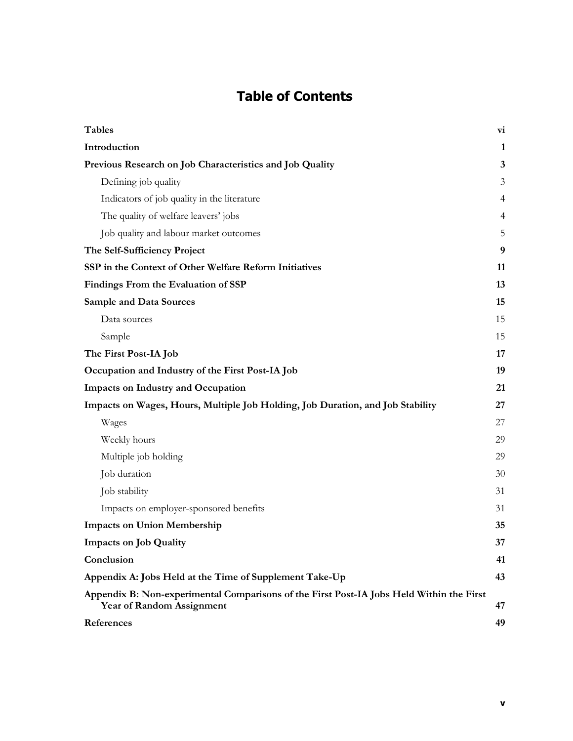## **Table of Contents**

| <b>Tables</b>                                                                                                                | vi           |
|------------------------------------------------------------------------------------------------------------------------------|--------------|
| Introduction                                                                                                                 | $\mathbf{1}$ |
| Previous Research on Job Characteristics and Job Quality                                                                     | 3            |
| Defining job quality                                                                                                         | 3            |
| Indicators of job quality in the literature                                                                                  | 4            |
| The quality of welfare leavers' jobs                                                                                         | 4            |
| Job quality and labour market outcomes                                                                                       | 5            |
| The Self-Sufficiency Project                                                                                                 | 9            |
| SSP in the Context of Other Welfare Reform Initiatives                                                                       | 11           |
| Findings From the Evaluation of SSP                                                                                          | 13           |
| <b>Sample and Data Sources</b>                                                                                               | 15           |
| Data sources                                                                                                                 | 15           |
| Sample                                                                                                                       | 15           |
| The First Post-IA Job                                                                                                        | 17           |
| Occupation and Industry of the First Post-IA Job                                                                             | 19           |
| <b>Impacts on Industry and Occupation</b>                                                                                    | 21           |
| Impacts on Wages, Hours, Multiple Job Holding, Job Duration, and Job Stability                                               | 27           |
| Wages                                                                                                                        | 27           |
| Weekly hours                                                                                                                 | 29           |
| Multiple job holding                                                                                                         | 29           |
| Job duration                                                                                                                 | 30           |
| Job stability                                                                                                                | 31           |
| Impacts on employer-sponsored benefits                                                                                       | 31           |
| <b>Impacts on Union Membership</b>                                                                                           | 35           |
| <b>Impacts on Job Quality</b>                                                                                                | 37           |
| Conclusion                                                                                                                   | 41           |
| Appendix A: Jobs Held at the Time of Supplement Take-Up                                                                      | 43           |
| Appendix B: Non-experimental Comparisons of the First Post-IA Jobs Held Within the First<br><b>Year of Random Assignment</b> | 47           |
| References                                                                                                                   | 49           |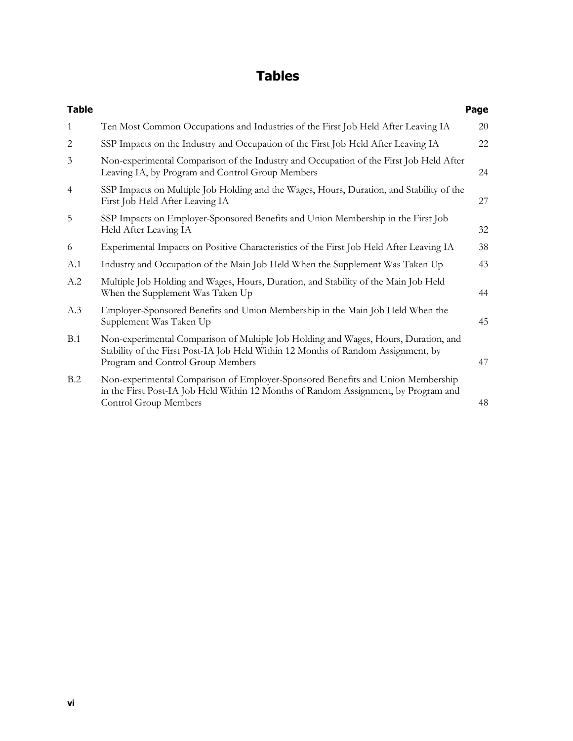## **Tables**

| <b>Table</b>   |                                                                                                                                                                                                               | Page |
|----------------|---------------------------------------------------------------------------------------------------------------------------------------------------------------------------------------------------------------|------|
| 1              | Ten Most Common Occupations and Industries of the First Job Held After Leaving IA                                                                                                                             | 20   |
| $\overline{c}$ | SSP Impacts on the Industry and Occupation of the First Job Held After Leaving IA                                                                                                                             | 22   |
| 3              | Non-experimental Comparison of the Industry and Occupation of the First Job Held After<br>Leaving IA, by Program and Control Group Members                                                                    | 24   |
| $\overline{4}$ | SSP Impacts on Multiple Job Holding and the Wages, Hours, Duration, and Stability of the<br>First Job Held After Leaving IA                                                                                   | 27   |
| 5              | SSP Impacts on Employer-Sponsored Benefits and Union Membership in the First Job<br>Held After Leaving IA                                                                                                     | 32   |
| 6              | Experimental Impacts on Positive Characteristics of the First Job Held After Leaving IA                                                                                                                       | 38   |
| A.1            | Industry and Occupation of the Main Job Held When the Supplement Was Taken Up                                                                                                                                 | 43   |
| A.2            | Multiple Job Holding and Wages, Hours, Duration, and Stability of the Main Job Held<br>When the Supplement Was Taken Up                                                                                       | 44   |
| A.3            | Employer-Sponsored Benefits and Union Membership in the Main Job Held When the<br>Supplement Was Taken Up                                                                                                     | 45   |
| B.1            | Non-experimental Comparison of Multiple Job Holding and Wages, Hours, Duration, and<br>Stability of the First Post-IA Job Held Within 12 Months of Random Assignment, by<br>Program and Control Group Members | 47   |
| B.2            | Non-experimental Comparison of Employer-Sponsored Benefits and Union Membership<br>in the First Post-IA Job Held Within 12 Months of Random Assignment, by Program and<br>Control Group Members               | 48   |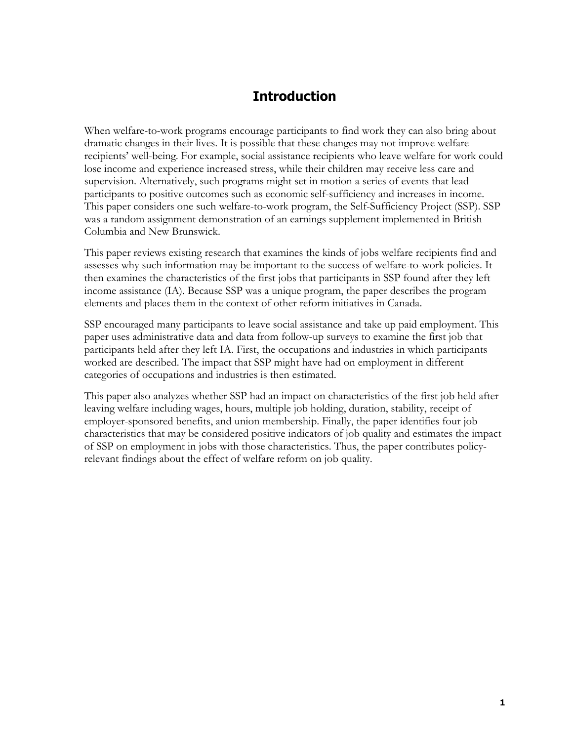### **Introduction**

When welfare-to-work programs encourage participants to find work they can also bring about dramatic changes in their lives. It is possible that these changes may not improve welfare recipients' well-being. For example, social assistance recipients who leave welfare for work could lose income and experience increased stress, while their children may receive less care and supervision. Alternatively, such programs might set in motion a series of events that lead participants to positive outcomes such as economic self-sufficiency and increases in income. This paper considers one such welfare-to-work program, the Self-Sufficiency Project (SSP). SSP was a random assignment demonstration of an earnings supplement implemented in British Columbia and New Brunswick.

This paper reviews existing research that examines the kinds of jobs welfare recipients find and assesses why such information may be important to the success of welfare-to-work policies. It then examines the characteristics of the first jobs that participants in SSP found after they left income assistance (IA). Because SSP was a unique program, the paper describes the program elements and places them in the context of other reform initiatives in Canada.

SSP encouraged many participants to leave social assistance and take up paid employment. This paper uses administrative data and data from follow-up surveys to examine the first job that participants held after they left IA. First, the occupations and industries in which participants worked are described. The impact that SSP might have had on employment in different categories of occupations and industries is then estimated.

This paper also analyzes whether SSP had an impact on characteristics of the first job held after leaving welfare including wages, hours, multiple job holding, duration, stability, receipt of employer-sponsored benefits, and union membership. Finally, the paper identifies four job characteristics that may be considered positive indicators of job quality and estimates the impact of SSP on employment in jobs with those characteristics. Thus, the paper contributes policyrelevant findings about the effect of welfare reform on job quality.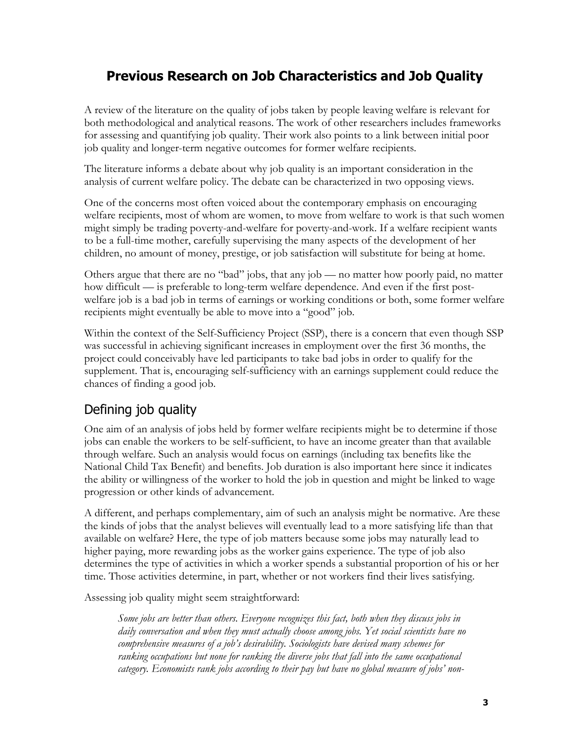## **Previous Research on Job Characteristics and Job Quality**

A review of the literature on the quality of jobs taken by people leaving welfare is relevant for both methodological and analytical reasons. The work of other researchers includes frameworks for assessing and quantifying job quality. Their work also points to a link between initial poor job quality and longer-term negative outcomes for former welfare recipients.

The literature informs a debate about why job quality is an important consideration in the analysis of current welfare policy. The debate can be characterized in two opposing views.

One of the concerns most often voiced about the contemporary emphasis on encouraging welfare recipients, most of whom are women, to move from welfare to work is that such women might simply be trading poverty-and-welfare for poverty-and-work. If a welfare recipient wants to be a full-time mother, carefully supervising the many aspects of the development of her children, no amount of money, prestige, or job satisfaction will substitute for being at home.

Others argue that there are no "bad" jobs, that any job — no matter how poorly paid, no matter how difficult — is preferable to long-term welfare dependence. And even if the first postwelfare job is a bad job in terms of earnings or working conditions or both, some former welfare recipients might eventually be able to move into a "good" job.

Within the context of the Self-Sufficiency Project (SSP), there is a concern that even though SSP was successful in achieving significant increases in employment over the first 36 months, the project could conceivably have led participants to take bad jobs in order to qualify for the supplement. That is, encouraging self-sufficiency with an earnings supplement could reduce the chances of finding a good job.

## Defining job quality

One aim of an analysis of jobs held by former welfare recipients might be to determine if those jobs can enable the workers to be self-sufficient, to have an income greater than that available through welfare. Such an analysis would focus on earnings (including tax benefits like the National Child Tax Benefit) and benefits. Job duration is also important here since it indicates the ability or willingness of the worker to hold the job in question and might be linked to wage progression or other kinds of advancement.

A different, and perhaps complementary, aim of such an analysis might be normative. Are these the kinds of jobs that the analyst believes will eventually lead to a more satisfying life than that available on welfare? Here, the type of job matters because some jobs may naturally lead to higher paying, more rewarding jobs as the worker gains experience. The type of job also determines the type of activities in which a worker spends a substantial proportion of his or her time. Those activities determine, in part, whether or not workers find their lives satisfying.

Assessing job quality might seem straightforward:

*Some jobs are better than others. Everyone recognizes this fact, both when they discuss jobs in daily conversation and when they must actually choose among jobs. Yet social scientists have no comprehensive measures of a job's desirability. Sociologists have devised many schemes for ranking occupations but none for ranking the diverse jobs that fall into the same occupational category. Economists rank jobs according to their pay but have no global measure of jobs' non-*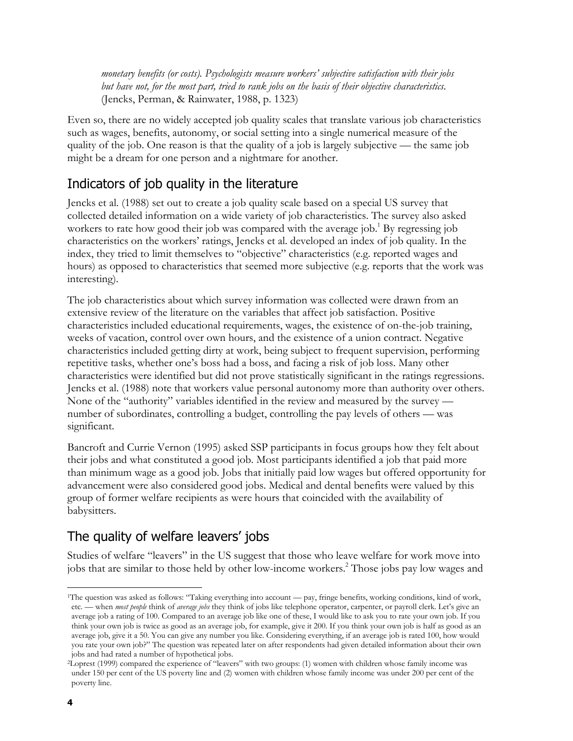*monetary benefits (or costs). Psychologists measure workers' subjective satisfaction with their jobs but have not, for the most part, tried to rank jobs on the basis of their objective characteristics.*  (Jencks, Perman, & Rainwater, 1988, p. 1323)

Even so, there are no widely accepted job quality scales that translate various job characteristics such as wages, benefits, autonomy, or social setting into a single numerical measure of the quality of the job. One reason is that the quality of a job is largely subjective — the same job might be a dream for one person and a nightmare for another.

### Indicators of job quality in the literature

Jencks et al. (1988) set out to create a job quality scale based on a special US survey that collected detailed information on a wide variety of job characteristics. The survey also asked workers to rate how good their job was compared with the average job.<sup>1</sup> By regressing job characteristics on the workers' ratings, Jencks et al. developed an index of job quality. In the index, they tried to limit themselves to "objective" characteristics (e.g. reported wages and hours) as opposed to characteristics that seemed more subjective (e.g. reports that the work was interesting).

The job characteristics about which survey information was collected were drawn from an extensive review of the literature on the variables that affect job satisfaction. Positive characteristics included educational requirements, wages, the existence of on-the-job training, weeks of vacation, control over own hours, and the existence of a union contract. Negative characteristics included getting dirty at work, being subject to frequent supervision, performing repetitive tasks, whether one's boss had a boss, and facing a risk of job loss. Many other characteristics were identified but did not prove statistically significant in the ratings regressions. Jencks et al. (1988) note that workers value personal autonomy more than authority over others. None of the "authority" variables identified in the review and measured by the survey number of subordinates, controlling a budget, controlling the pay levels of others — was significant.

Bancroft and Currie Vernon (1995) asked SSP participants in focus groups how they felt about their jobs and what constituted a good job. Most participants identified a job that paid more than minimum wage as a good job. Jobs that initially paid low wages but offered opportunity for advancement were also considered good jobs. Medical and dental benefits were valued by this group of former welfare recipients as were hours that coincided with the availability of babysitters.

## The quality of welfare leavers' jobs

Studies of welfare "leavers" in the US suggest that those who leave welfare for work move into jobs that are similar to those held by other low-income workers.<sup>2</sup> Those jobs pay low wages and

l

<sup>1</sup>The question was asked as follows: "Taking everything into account — pay, fringe benefits, working conditions, kind of work, etc. — when *most people* think of *average jobs* they think of jobs like telephone operator, carpenter, or payroll clerk. Let's give an average job a rating of 100. Compared to an average job like one of these, I would like to ask you to rate your own job. If you think your own job is twice as good as an average job, for example, give it 200. If you think your own job is half as good as an average job, give it a 50. You can give any number you like. Considering everything, if an average job is rated 100, how would you rate your own job?" The question was repeated later on after respondents had given detailed information about their own jobs and had rated a number of hypothetical jobs.

<sup>2</sup>Loprest (1999) compared the experience of "leavers" with two groups: (1) women with children whose family income was under 150 per cent of the US poverty line and (2) women with children whose family income was under 200 per cent of the poverty line.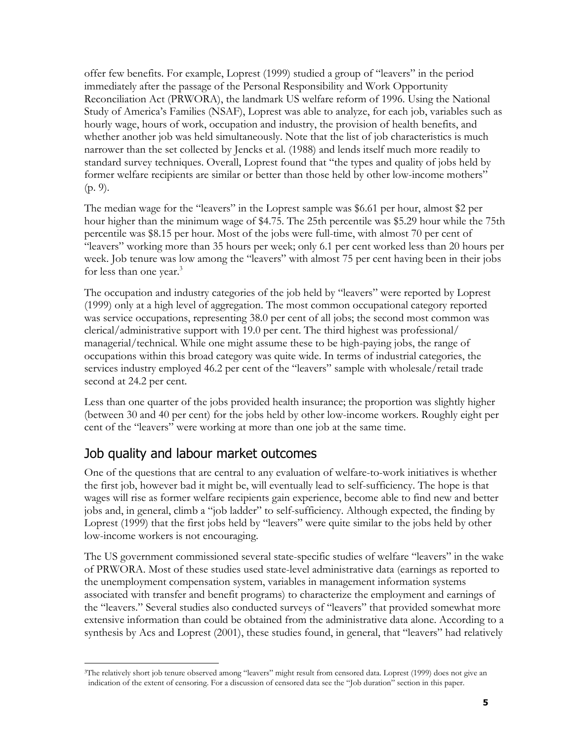offer few benefits. For example, Loprest (1999) studied a group of "leavers" in the period immediately after the passage of the Personal Responsibility and Work Opportunity Reconciliation Act (PRWORA), the landmark US welfare reform of 1996. Using the National Study of America's Families (NSAF), Loprest was able to analyze, for each job, variables such as hourly wage, hours of work, occupation and industry, the provision of health benefits, and whether another job was held simultaneously. Note that the list of job characteristics is much narrower than the set collected by Jencks et al. (1988) and lends itself much more readily to standard survey techniques. Overall, Loprest found that "the types and quality of jobs held by former welfare recipients are similar or better than those held by other low-income mothers" (p. 9).

The median wage for the "leavers" in the Loprest sample was \$6.61 per hour, almost \$2 per hour higher than the minimum wage of \$4.75. The 25th percentile was \$5.29 hour while the 75th percentile was \$8.15 per hour. Most of the jobs were full-time, with almost 70 per cent of "leavers" working more than 35 hours per week; only 6.1 per cent worked less than 20 hours per week. Job tenure was low among the "leavers" with almost 75 per cent having been in their jobs for less than one year.<sup>3</sup>

The occupation and industry categories of the job held by "leavers" were reported by Loprest (1999) only at a high level of aggregation. The most common occupational category reported was service occupations, representing 38.0 per cent of all jobs; the second most common was clerical/administrative support with 19.0 per cent. The third highest was professional/ managerial/technical. While one might assume these to be high-paying jobs, the range of occupations within this broad category was quite wide. In terms of industrial categories, the services industry employed 46.2 per cent of the "leavers" sample with wholesale/retail trade second at 24.2 per cent.

Less than one quarter of the jobs provided health insurance; the proportion was slightly higher (between 30 and 40 per cent) for the jobs held by other low-income workers. Roughly eight per cent of the "leavers" were working at more than one job at the same time.

#### Job quality and labour market outcomes

l

One of the questions that are central to any evaluation of welfare-to-work initiatives is whether the first job, however bad it might be, will eventually lead to self-sufficiency. The hope is that wages will rise as former welfare recipients gain experience, become able to find new and better jobs and, in general, climb a "job ladder" to self-sufficiency. Although expected, the finding by Loprest (1999) that the first jobs held by "leavers" were quite similar to the jobs held by other low-income workers is not encouraging.

The US government commissioned several state-specific studies of welfare "leavers" in the wake of PRWORA. Most of these studies used state-level administrative data (earnings as reported to the unemployment compensation system, variables in management information systems associated with transfer and benefit programs) to characterize the employment and earnings of the "leavers." Several studies also conducted surveys of "leavers" that provided somewhat more extensive information than could be obtained from the administrative data alone. According to a synthesis by Acs and Loprest (2001), these studies found, in general, that "leavers" had relatively

<sup>3</sup>The relatively short job tenure observed among "leavers" might result from censored data. Loprest (1999) does not give an indication of the extent of censoring. For a discussion of censored data see the "Job duration" section in this paper.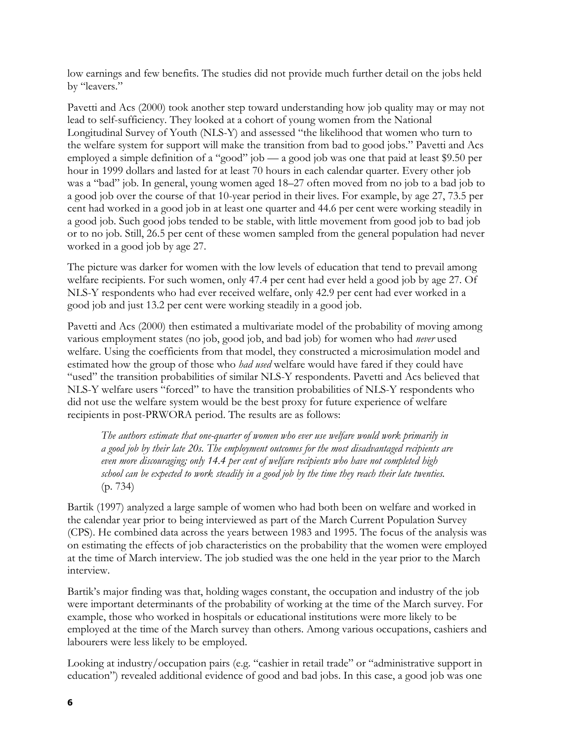low earnings and few benefits. The studies did not provide much further detail on the jobs held by "leavers."

Pavetti and Acs (2000) took another step toward understanding how job quality may or may not lead to self-sufficiency. They looked at a cohort of young women from the National Longitudinal Survey of Youth (NLS-Y) and assessed "the likelihood that women who turn to the welfare system for support will make the transition from bad to good jobs." Pavetti and Acs employed a simple definition of a "good" job — a good job was one that paid at least \$9.50 per hour in 1999 dollars and lasted for at least 70 hours in each calendar quarter. Every other job was a "bad" job. In general, young women aged 18–27 often moved from no job to a bad job to a good job over the course of that 10-year period in their lives. For example, by age 27, 73.5 per cent had worked in a good job in at least one quarter and 44.6 per cent were working steadily in a good job. Such good jobs tended to be stable, with little movement from good job to bad job or to no job. Still, 26.5 per cent of these women sampled from the general population had never worked in a good job by age 27.

The picture was darker for women with the low levels of education that tend to prevail among welfare recipients. For such women, only 47.4 per cent had ever held a good job by age 27. Of NLS-Y respondents who had ever received welfare, only 42.9 per cent had ever worked in a good job and just 13.2 per cent were working steadily in a good job.

Pavetti and Acs (2000) then estimated a multivariate model of the probability of moving among various employment states (no job, good job, and bad job) for women who had *never* used welfare. Using the coefficients from that model, they constructed a microsimulation model and estimated how the group of those who *had used* welfare would have fared if they could have "used" the transition probabilities of similar NLS-Y respondents. Pavetti and Acs believed that NLS-Y welfare users "forced" to have the transition probabilities of NLS-Y respondents who did not use the welfare system would be the best proxy for future experience of welfare recipients in post-PRWORA period. The results are as follows:

*The authors estimate that one-quarter of women who ever use welfare would work primarily in a good job by their late 20s. The employment outcomes for the most disadvantaged recipients are even more discouraging; only 14.4 per cent of welfare recipients who have not completed high school can be expected to work steadily in a good job by the time they reach their late twenties.* (p. 734)

Bartik (1997) analyzed a large sample of women who had both been on welfare and worked in the calendar year prior to being interviewed as part of the March Current Population Survey (CPS). He combined data across the years between 1983 and 1995. The focus of the analysis was on estimating the effects of job characteristics on the probability that the women were employed at the time of March interview. The job studied was the one held in the year prior to the March interview.

Bartik's major finding was that, holding wages constant, the occupation and industry of the job were important determinants of the probability of working at the time of the March survey. For example, those who worked in hospitals or educational institutions were more likely to be employed at the time of the March survey than others. Among various occupations, cashiers and labourers were less likely to be employed.

Looking at industry/occupation pairs (e.g. "cashier in retail trade" or "administrative support in education") revealed additional evidence of good and bad jobs. In this case, a good job was one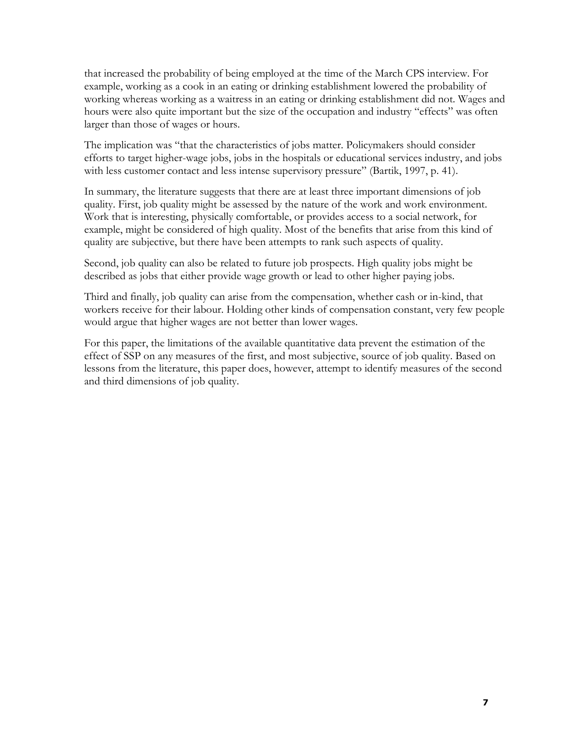that increased the probability of being employed at the time of the March CPS interview. For example, working as a cook in an eating or drinking establishment lowered the probability of working whereas working as a waitress in an eating or drinking establishment did not. Wages and hours were also quite important but the size of the occupation and industry "effects" was often larger than those of wages or hours.

The implication was "that the characteristics of jobs matter. Policymakers should consider efforts to target higher-wage jobs, jobs in the hospitals or educational services industry, and jobs with less customer contact and less intense supervisory pressure" (Bartik, 1997, p. 41).

In summary, the literature suggests that there are at least three important dimensions of job quality. First, job quality might be assessed by the nature of the work and work environment. Work that is interesting, physically comfortable, or provides access to a social network, for example, might be considered of high quality. Most of the benefits that arise from this kind of quality are subjective, but there have been attempts to rank such aspects of quality.

Second, job quality can also be related to future job prospects. High quality jobs might be described as jobs that either provide wage growth or lead to other higher paying jobs.

Third and finally, job quality can arise from the compensation, whether cash or in-kind, that workers receive for their labour. Holding other kinds of compensation constant, very few people would argue that higher wages are not better than lower wages.

For this paper, the limitations of the available quantitative data prevent the estimation of the effect of SSP on any measures of the first, and most subjective, source of job quality. Based on lessons from the literature, this paper does, however, attempt to identify measures of the second and third dimensions of job quality.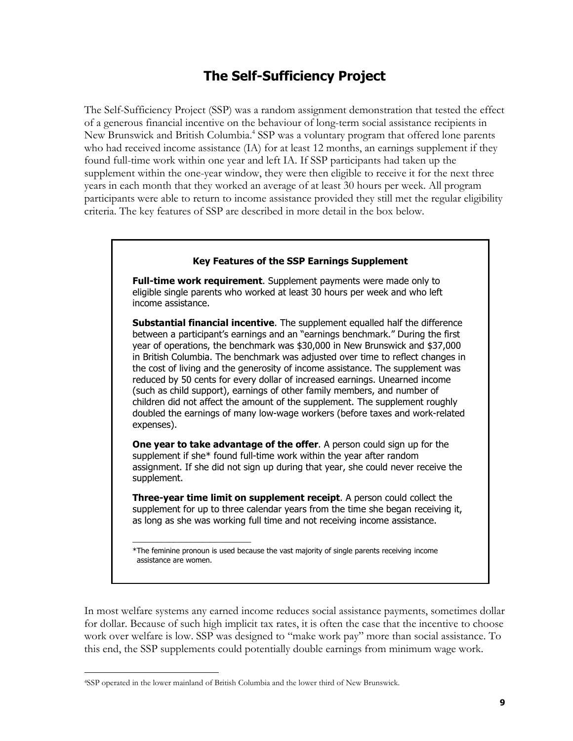### **The Self-Sufficiency Project**

The Self-Sufficiency Project (SSP) was a random assignment demonstration that tested the effect of a generous financial incentive on the behaviour of long-term social assistance recipients in New Brunswick and British Columbia.<sup>4</sup> SSP was a voluntary program that offered lone parents who had received income assistance (IA) for at least 12 months, an earnings supplement if they found full-time work within one year and left IA. If SSP participants had taken up the supplement within the one-year window, they were then eligible to receive it for the next three years in each month that they worked an average of at least 30 hours per week. All program participants were able to return to income assistance provided they still met the regular eligibility criteria. The key features of SSP are described in more detail in the box below.

#### **Key Features of the SSP Earnings Supplement**

**Full-time work requirement**. Supplement payments were made only to eligible single parents who worked at least 30 hours per week and who left income assistance.

**Substantial financial incentive**. The supplement equalled half the difference between a participant's earnings and an "earnings benchmark." During the first year of operations, the benchmark was \$30,000 in New Brunswick and \$37,000 in British Columbia. The benchmark was adjusted over time to reflect changes in the cost of living and the generosity of income assistance. The supplement was reduced by 50 cents for every dollar of increased earnings. Unearned income (such as child support), earnings of other family members, and number of children did not affect the amount of the supplement. The supplement roughly doubled the earnings of many low-wage workers (before taxes and work-related expenses).

**One year to take advantage of the offer**. A person could sign up for the supplement if she\* found full-time work within the year after random assignment. If she did not sign up during that year, she could never receive the supplement.

**Three-year time limit on supplement receipt**. A person could collect the supplement for up to three calendar years from the time she began receiving it, as long as she was working full time and not receiving income assistance.

In most welfare systems any earned income reduces social assistance payments, sometimes dollar for dollar. Because of such high implicit tax rates, it is often the case that the incentive to choose work over welfare is low. SSP was designed to "make work pay" more than social assistance. To this end, the SSP supplements could potentially double earnings from minimum wage work.

\_\_\_\_\_\_\_\_\_\_\_\_\_\_\_\_\_\_\_\_\_\_\_\_\_\_\_\_\_

l

<sup>\*</sup>The feminine pronoun is used because the vast majority of single parents receiving income assistance are women.

<sup>4</sup>SSP operated in the lower mainland of British Columbia and the lower third of New Brunswick.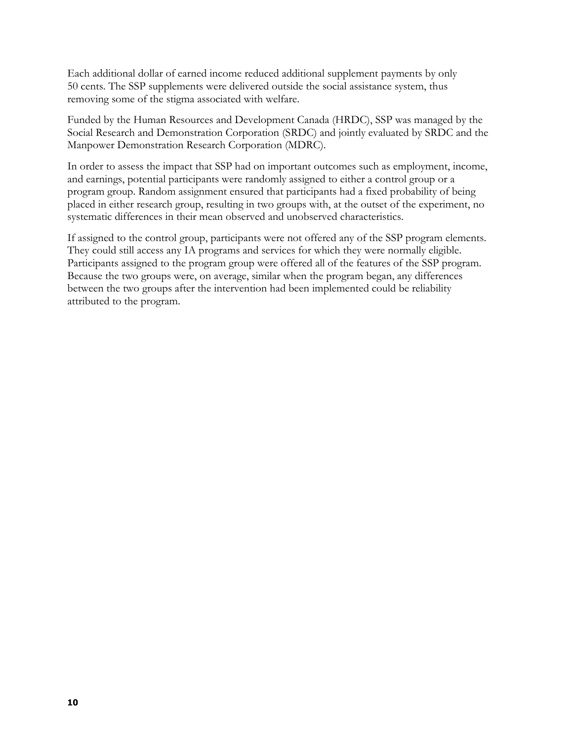Each additional dollar of earned income reduced additional supplement payments by only 50 cents. The SSP supplements were delivered outside the social assistance system, thus removing some of the stigma associated with welfare.

Funded by the Human Resources and Development Canada (HRDC), SSP was managed by the Social Research and Demonstration Corporation (SRDC) and jointly evaluated by SRDC and the Manpower Demonstration Research Corporation (MDRC).

In order to assess the impact that SSP had on important outcomes such as employment, income, and earnings, potential participants were randomly assigned to either a control group or a program group. Random assignment ensured that participants had a fixed probability of being placed in either research group, resulting in two groups with, at the outset of the experiment, no systematic differences in their mean observed and unobserved characteristics.

If assigned to the control group, participants were not offered any of the SSP program elements. They could still access any IA programs and services for which they were normally eligible. Participants assigned to the program group were offered all of the features of the SSP program. Because the two groups were, on average, similar when the program began, any differences between the two groups after the intervention had been implemented could be reliability attributed to the program.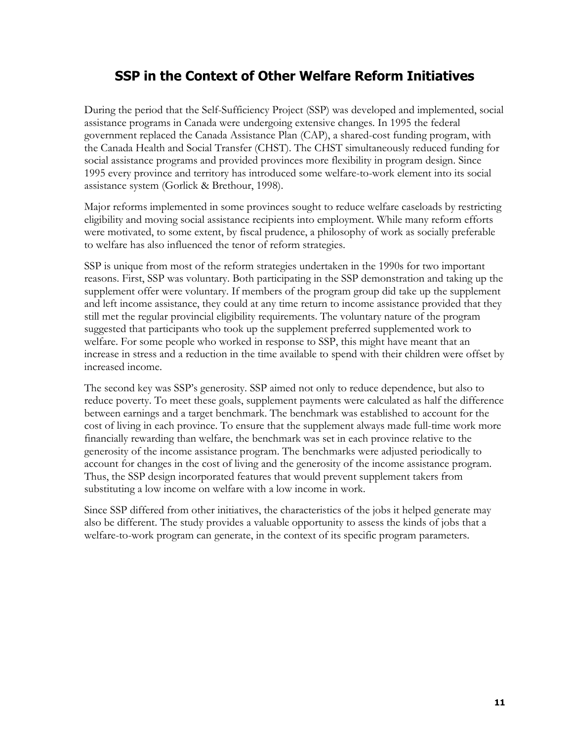## **SSP in the Context of Other Welfare Reform Initiatives**

During the period that the Self-Sufficiency Project (SSP) was developed and implemented, social assistance programs in Canada were undergoing extensive changes. In 1995 the federal government replaced the Canada Assistance Plan (CAP), a shared-cost funding program, with the Canada Health and Social Transfer (CHST). The CHST simultaneously reduced funding for social assistance programs and provided provinces more flexibility in program design. Since 1995 every province and territory has introduced some welfare-to-work element into its social assistance system (Gorlick & Brethour, 1998).

Major reforms implemented in some provinces sought to reduce welfare caseloads by restricting eligibility and moving social assistance recipients into employment. While many reform efforts were motivated, to some extent, by fiscal prudence, a philosophy of work as socially preferable to welfare has also influenced the tenor of reform strategies.

SSP is unique from most of the reform strategies undertaken in the 1990s for two important reasons. First, SSP was voluntary. Both participating in the SSP demonstration and taking up the supplement offer were voluntary. If members of the program group did take up the supplement and left income assistance, they could at any time return to income assistance provided that they still met the regular provincial eligibility requirements. The voluntary nature of the program suggested that participants who took up the supplement preferred supplemented work to welfare. For some people who worked in response to SSP, this might have meant that an increase in stress and a reduction in the time available to spend with their children were offset by increased income.

The second key was SSP's generosity. SSP aimed not only to reduce dependence, but also to reduce poverty. To meet these goals, supplement payments were calculated as half the difference between earnings and a target benchmark. The benchmark was established to account for the cost of living in each province. To ensure that the supplement always made full-time work more financially rewarding than welfare, the benchmark was set in each province relative to the generosity of the income assistance program. The benchmarks were adjusted periodically to account for changes in the cost of living and the generosity of the income assistance program. Thus, the SSP design incorporated features that would prevent supplement takers from substituting a low income on welfare with a low income in work.

Since SSP differed from other initiatives, the characteristics of the jobs it helped generate may also be different. The study provides a valuable opportunity to assess the kinds of jobs that a welfare-to-work program can generate, in the context of its specific program parameters.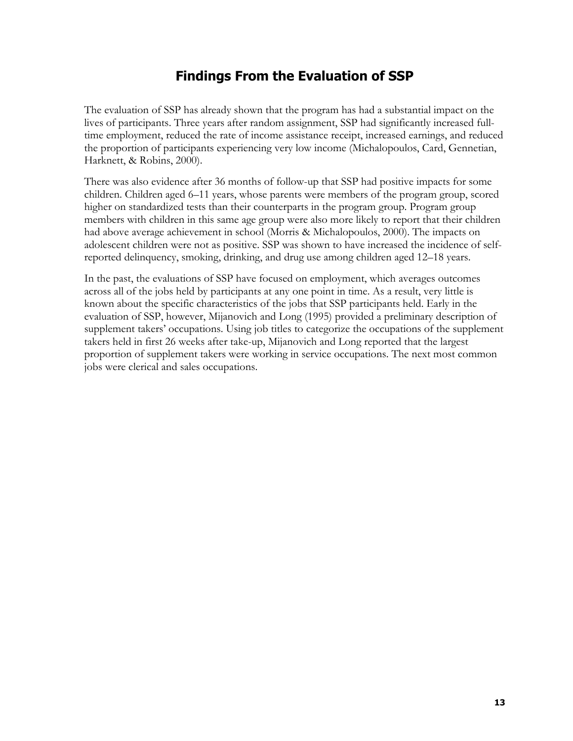### **Findings From the Evaluation of SSP**

The evaluation of SSP has already shown that the program has had a substantial impact on the lives of participants. Three years after random assignment, SSP had significantly increased fulltime employment, reduced the rate of income assistance receipt, increased earnings, and reduced the proportion of participants experiencing very low income (Michalopoulos, Card, Gennetian, Harknett, & Robins, 2000).

There was also evidence after 36 months of follow-up that SSP had positive impacts for some children. Children aged 6–11 years, whose parents were members of the program group, scored higher on standardized tests than their counterparts in the program group. Program group members with children in this same age group were also more likely to report that their children had above average achievement in school (Morris & Michalopoulos, 2000). The impacts on adolescent children were not as positive. SSP was shown to have increased the incidence of selfreported delinquency, smoking, drinking, and drug use among children aged 12–18 years.

In the past, the evaluations of SSP have focused on employment, which averages outcomes across all of the jobs held by participants at any one point in time. As a result, very little is known about the specific characteristics of the jobs that SSP participants held. Early in the evaluation of SSP, however, Mijanovich and Long (1995) provided a preliminary description of supplement takers' occupations. Using job titles to categorize the occupations of the supplement takers held in first 26 weeks after take-up, Mijanovich and Long reported that the largest proportion of supplement takers were working in service occupations. The next most common jobs were clerical and sales occupations.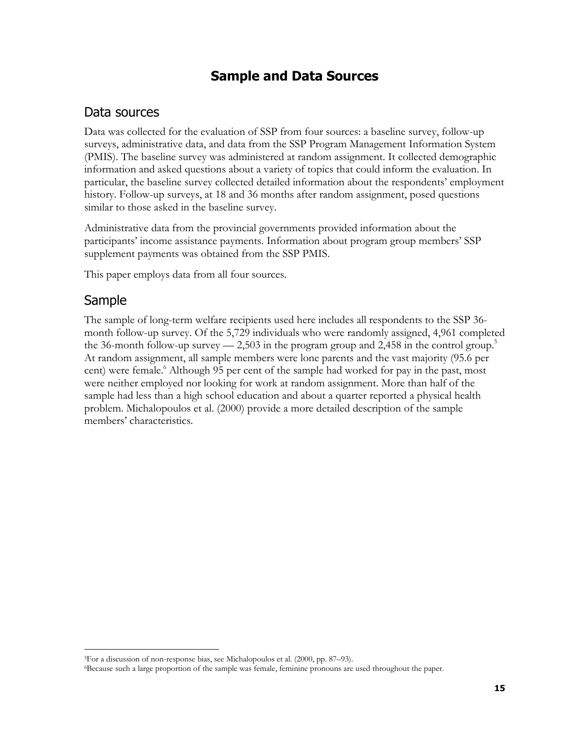### **Sample and Data Sources**

#### Data sources

Data was collected for the evaluation of SSP from four sources: a baseline survey, follow-up surveys, administrative data, and data from the SSP Program Management Information System (PMIS). The baseline survey was administered at random assignment. It collected demographic information and asked questions about a variety of topics that could inform the evaluation. In particular, the baseline survey collected detailed information about the respondents' employment history. Follow-up surveys, at 18 and 36 months after random assignment, posed questions similar to those asked in the baseline survey.

Administrative data from the provincial governments provided information about the participants' income assistance payments. Information about program group members' SSP supplement payments was obtained from the SSP PMIS.

This paper employs data from all four sources.

### Sample

l

The sample of long-term welfare recipients used here includes all respondents to the SSP 36 month follow-up survey. Of the 5,729 individuals who were randomly assigned, 4,961 completed the 36-month follow-up survey  $-2,503$  in the program group and 2,458 in the control group.<sup>5</sup> At random assignment, all sample members were lone parents and the vast majority (95.6 per cent) were female.<sup>6</sup> Although 95 per cent of the sample had worked for pay in the past, most were neither employed nor looking for work at random assignment. More than half of the sample had less than a high school education and about a quarter reported a physical health problem. Michalopoulos et al. (2000) provide a more detailed description of the sample members' characteristics.

<sup>5</sup>For a discussion of non-response bias, see Michalopoulos et al. (2000, pp. 87–93).

<sup>6</sup>Because such a large proportion of the sample was female, feminine pronouns are used throughout the paper.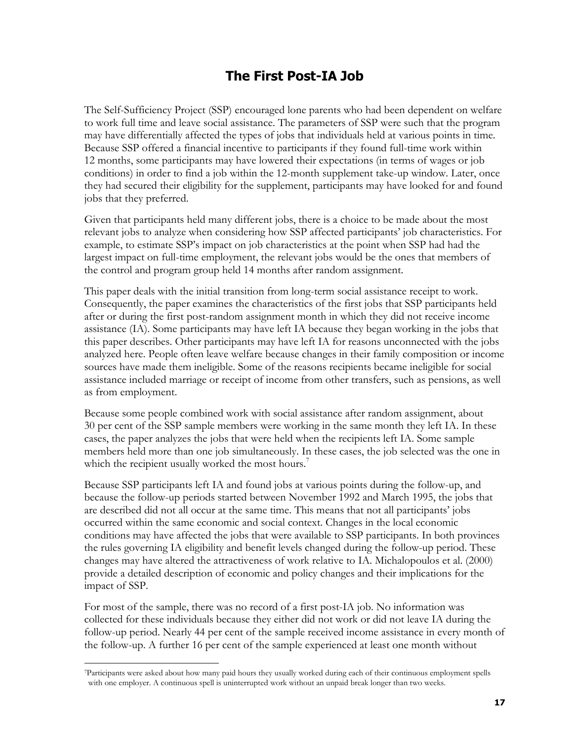## **The First Post-IA Job**

The Self-Sufficiency Project (SSP) encouraged lone parents who had been dependent on welfare to work full time and leave social assistance. The parameters of SSP were such that the program may have differentially affected the types of jobs that individuals held at various points in time. Because SSP offered a financial incentive to participants if they found full-time work within 12 months, some participants may have lowered their expectations (in terms of wages or job conditions) in order to find a job within the 12-month supplement take-up window. Later, once they had secured their eligibility for the supplement, participants may have looked for and found jobs that they preferred.

Given that participants held many different jobs, there is a choice to be made about the most relevant jobs to analyze when considering how SSP affected participants' job characteristics. For example, to estimate SSP's impact on job characteristics at the point when SSP had had the largest impact on full-time employment, the relevant jobs would be the ones that members of the control and program group held 14 months after random assignment.

This paper deals with the initial transition from long-term social assistance receipt to work. Consequently, the paper examines the characteristics of the first jobs that SSP participants held after or during the first post-random assignment month in which they did not receive income assistance (IA). Some participants may have left IA because they began working in the jobs that this paper describes. Other participants may have left IA for reasons unconnected with the jobs analyzed here. People often leave welfare because changes in their family composition or income sources have made them ineligible. Some of the reasons recipients became ineligible for social assistance included marriage or receipt of income from other transfers, such as pensions, as well as from employment.

Because some people combined work with social assistance after random assignment, about 30 per cent of the SSP sample members were working in the same month they left IA. In these cases, the paper analyzes the jobs that were held when the recipients left IA. Some sample members held more than one job simultaneously. In these cases, the job selected was the one in which the recipient usually worked the most hours.<sup>7</sup>

Because SSP participants left IA and found jobs at various points during the follow-up, and because the follow-up periods started between November 1992 and March 1995, the jobs that are described did not all occur at the same time. This means that not all participants' jobs occurred within the same economic and social context. Changes in the local economic conditions may have affected the jobs that were available to SSP participants. In both provinces the rules governing IA eligibility and benefit levels changed during the follow-up period. These changes may have altered the attractiveness of work relative to IA. Michalopoulos et al. (2000) provide a detailed description of economic and policy changes and their implications for the impact of SSP.

For most of the sample, there was no record of a first post-IA job. No information was collected for these individuals because they either did not work or did not leave IA during the follow-up period. Nearly 44 per cent of the sample received income assistance in every month of the follow-up. A further 16 per cent of the sample experienced at least one month without

l

<sup>7</sup>Participants were asked about how many paid hours they usually worked during each of their continuous employment spells with one employer. A continuous spell is uninterrupted work without an unpaid break longer than two weeks.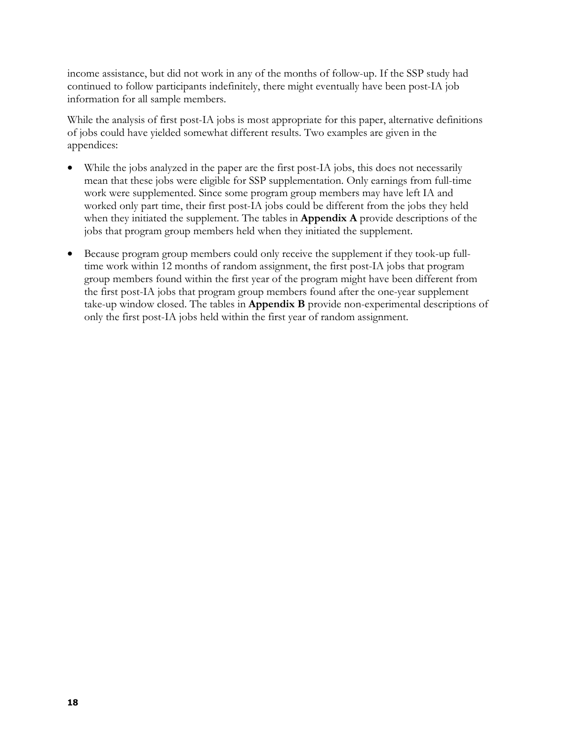income assistance, but did not work in any of the months of follow-up. If the SSP study had continued to follow participants indefinitely, there might eventually have been post-IA job information for all sample members.

While the analysis of first post-IA jobs is most appropriate for this paper, alternative definitions of jobs could have yielded somewhat different results. Two examples are given in the appendices:

- While the jobs analyzed in the paper are the first post-IA jobs, this does not necessarily mean that these jobs were eligible for SSP supplementation. Only earnings from full-time work were supplemented. Since some program group members may have left IA and worked only part time, their first post-IA jobs could be different from the jobs they held when they initiated the supplement. The tables in **Appendix A** provide descriptions of the jobs that program group members held when they initiated the supplement.
- Because program group members could only receive the supplement if they took-up fulltime work within 12 months of random assignment, the first post-IA jobs that program group members found within the first year of the program might have been different from the first post-IA jobs that program group members found after the one-year supplement take-up window closed. The tables in **Appendix B** provide non-experimental descriptions of only the first post-IA jobs held within the first year of random assignment.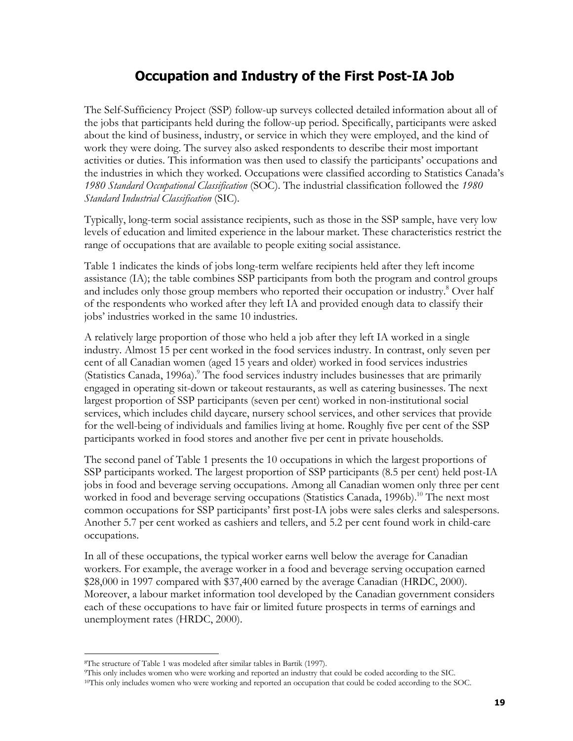### **Occupation and Industry of the First Post-IA Job**

The Self-Sufficiency Project (SSP) follow-up surveys collected detailed information about all of the jobs that participants held during the follow-up period. Specifically, participants were asked about the kind of business, industry, or service in which they were employed, and the kind of work they were doing. The survey also asked respondents to describe their most important activities or duties. This information was then used to classify the participants' occupations and the industries in which they worked. Occupations were classified according to Statistics Canada's *1980 Standard Occupational Classification* (SOC). The industrial classification followed the *1980 Standard Industrial Classification* (SIC)*.*

Typically, long-term social assistance recipients, such as those in the SSP sample, have very low levels of education and limited experience in the labour market. These characteristics restrict the range of occupations that are available to people exiting social assistance.

Table 1 indicates the kinds of jobs long-term welfare recipients held after they left income assistance (IA); the table combines SSP participants from both the program and control groups and includes only those group members who reported their occupation or industry.<sup>8</sup> Over half of the respondents who worked after they left IA and provided enough data to classify their jobs' industries worked in the same 10 industries.

A relatively large proportion of those who held a job after they left IA worked in a single industry. Almost 15 per cent worked in the food services industry. In contrast, only seven per cent of all Canadian women (aged 15 years and older) worked in food services industries (Statistics Canada, 1996a).<sup>9</sup> The food services industry includes businesses that are primarily engaged in operating sit-down or takeout restaurants, as well as catering businesses. The next largest proportion of SSP participants (seven per cent) worked in non-institutional social services, which includes child daycare, nursery school services, and other services that provide for the well-being of individuals and families living at home. Roughly five per cent of the SSP participants worked in food stores and another five per cent in private households.

The second panel of Table 1 presents the 10 occupations in which the largest proportions of SSP participants worked. The largest proportion of SSP participants (8.5 per cent) held post-IA jobs in food and beverage serving occupations. Among all Canadian women only three per cent worked in food and beverage serving occupations (Statistics Canada, 1996b).<sup>10</sup> The next most common occupations for SSP participants' first post-IA jobs were sales clerks and salespersons. Another 5.7 per cent worked as cashiers and tellers, and 5.2 per cent found work in child-care occupations.

In all of these occupations, the typical worker earns well below the average for Canadian workers. For example, the average worker in a food and beverage serving occupation earned \$28,000 in 1997 compared with \$37,400 earned by the average Canadian (HRDC, 2000). Moreover, a labour market information tool developed by the Canadian government considers each of these occupations to have fair or limited future prospects in terms of earnings and unemployment rates (HRDC, 2000).

j

The structure of Table 1 was modeled after similar tables in Bartik (1997).<br>This only includes women who were working and reported an industry that could be coded according to the SIC.<br><sup>10</sup>This only includes women who were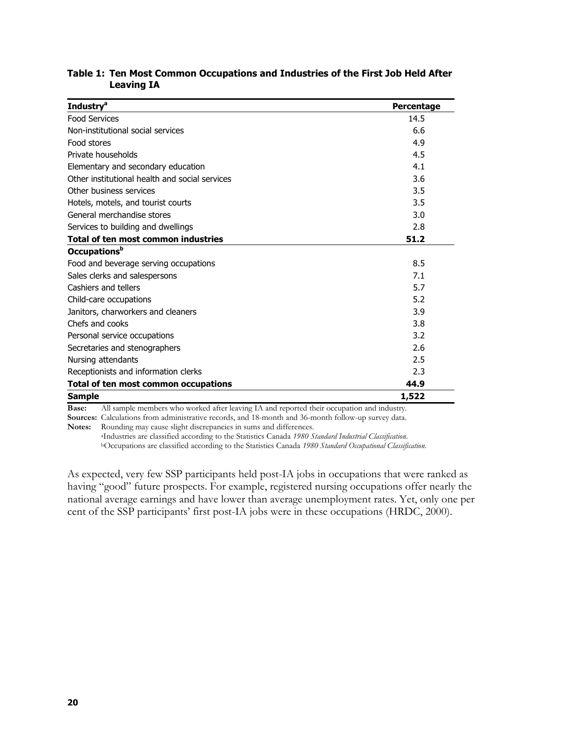| <b>Industry<sup>a</sup></b>                    | Percentage |
|------------------------------------------------|------------|
| <b>Food Services</b>                           | 14.5       |
| Non-institutional social services              | 6.6        |
| Food stores                                    | 4.9        |
| Private households                             | 4.5        |
| Elementary and secondary education             | 4.1        |
| Other institutional health and social services | 3.6        |
| Other business services                        | 3.5        |
| Hotels, motels, and tourist courts             | 3.5        |
| General merchandise stores                     | 3.0        |
| Services to building and dwellings             | 2.8        |
| Total of ten most common industries            | 51.2       |
| Occupations <sup>b</sup>                       |            |
| Food and beverage serving occupations          | 8.5        |
| Sales clerks and salespersons                  | 7.1        |
| Cashiers and tellers                           | 5.7        |
| Child-care occupations                         | 5.2        |
| Janitors, charworkers and cleaners             | 3.9        |
| Chefs and cooks                                | 3.8        |
| Personal service occupations                   | 3.2        |
| Secretaries and stenographers                  | 2.6        |
| Nursing attendants                             | 2.5        |
| Receptionists and information clerks           | 2.3        |
| Total of ten most common occupations           | 44.9       |
| <b>Sample</b>                                  | 1,522      |

#### **Table 1: Ten Most Common Occupations and Industries of the First Job Held After Leaving IA**

**Base:** All sample members who worked after leaving IA and reported their occupation and industry.

**Sources:** Calculations from administrative records, and 18-month and 36-month follow-up survey data.

Notes: Rounding may cause slight discrepancies in sums and differences.<br><sup>a</sup>Industries are classified according to the Statistics Canada 1980 Standard Industrial Classification.<br><sup>b</sup>Occupations are classified according to th

As expected, very few SSP participants held post-IA jobs in occupations that were ranked as having "good" future prospects. For example, registered nursing occupations offer nearly the national average earnings and have lower than average unemployment rates. Yet, only one per cent of the SSP participants' first post-IA jobs were in these occupations (HRDC, 2000).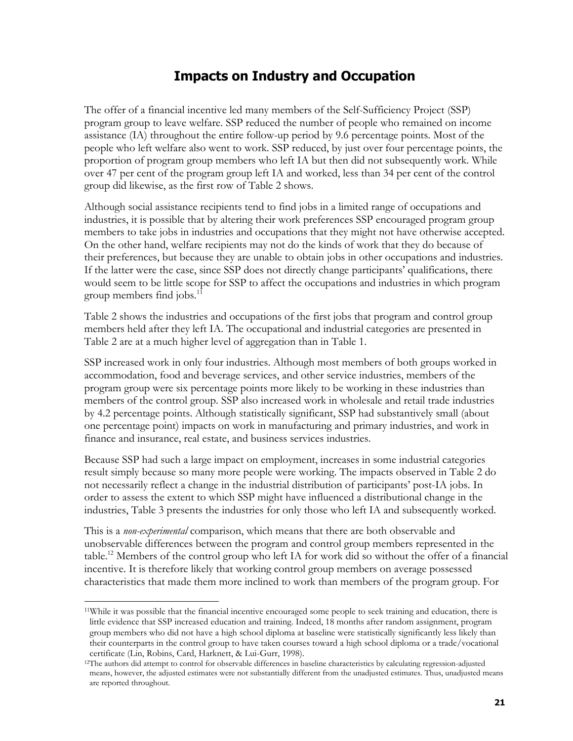#### **Impacts on Industry and Occupation**

The offer of a financial incentive led many members of the Self-Sufficiency Project (SSP) program group to leave welfare. SSP reduced the number of people who remained on income assistance (IA) throughout the entire follow-up period by 9.6 percentage points. Most of the people who left welfare also went to work. SSP reduced, by just over four percentage points, the proportion of program group members who left IA but then did not subsequently work. While over 47 per cent of the program group left IA and worked, less than 34 per cent of the control group did likewise, as the first row of Table 2 shows.

Although social assistance recipients tend to find jobs in a limited range of occupations and industries, it is possible that by altering their work preferences SSP encouraged program group members to take jobs in industries and occupations that they might not have otherwise accepted. On the other hand, welfare recipients may not do the kinds of work that they do because of their preferences, but because they are unable to obtain jobs in other occupations and industries. If the latter were the case, since SSP does not directly change participants' qualifications, there would seem to be little scope for SSP to affect the occupations and industries in which program group members find jobs.<sup>11</sup>

Table 2 shows the industries and occupations of the first jobs that program and control group members held after they left IA. The occupational and industrial categories are presented in Table 2 are at a much higher level of aggregation than in Table 1.

SSP increased work in only four industries. Although most members of both groups worked in accommodation, food and beverage services, and other service industries, members of the program group were six percentage points more likely to be working in these industries than members of the control group. SSP also increased work in wholesale and retail trade industries by 4.2 percentage points. Although statistically significant, SSP had substantively small (about one percentage point) impacts on work in manufacturing and primary industries, and work in finance and insurance, real estate, and business services industries.

Because SSP had such a large impact on employment, increases in some industrial categories result simply because so many more people were working. The impacts observed in Table 2 do not necessarily reflect a change in the industrial distribution of participants' post-IA jobs. In order to assess the extent to which SSP might have influenced a distributional change in the industries, Table 3 presents the industries for only those who left IA and subsequently worked.

This is a *non-experimental* comparison, which means that there are both observable and unobservable differences between the program and control group members represented in the table.12 Members of the control group who left IA for work did so without the offer of a financial incentive. It is therefore likely that working control group members on average possessed characteristics that made them more inclined to work than members of the program group. For

j

<sup>11</sup>While it was possible that the financial incentive encouraged some people to seek training and education, there is little evidence that SSP increased education and training. Indeed, 18 months after random assignment, program group members who did not have a high school diploma at baseline were statistically significantly less likely than their counterparts in the control group to have taken courses toward a high school diploma or a trade/vocational certificate (Lin, Robins, Card, Harknett, & Lui-Gurr, 1998). 12The authors did attempt to control for observable differences in baseline characteristics by calculating regression-adjusted

means, however, the adjusted estimates were not substantially different from the unadjusted estimates. Thus, unadjusted means are reported throughout.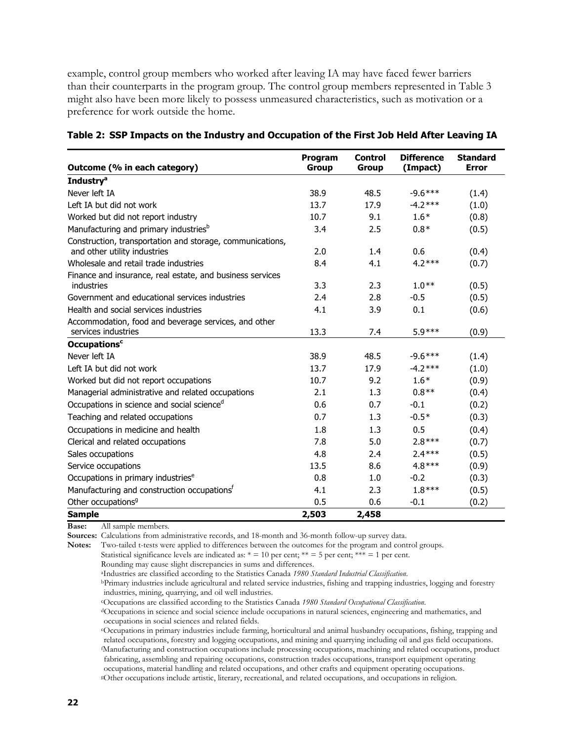example, control group members who worked after leaving IA may have faced fewer barriers than their counterparts in the program group. The control group members represented in Table 3 might also have been more likely to possess unmeasured characteristics, such as motivation or a preference for work outside the home.

| Outcome (% in each category)                                                              | Program<br><b>Group</b> | <b>Control</b><br><b>Group</b> | <b>Difference</b><br>(Impact) | <b>Standard</b><br><b>Error</b> |
|-------------------------------------------------------------------------------------------|-------------------------|--------------------------------|-------------------------------|---------------------------------|
| <b>Industry<sup>a</sup></b>                                                               |                         |                                |                               |                                 |
| Never left IA                                                                             | 38.9                    | 48.5                           | $-9.6***$                     | (1.4)                           |
| Left IA but did not work                                                                  | 13.7                    | 17.9                           | $-4.2***$                     | (1.0)                           |
| Worked but did not report industry                                                        | 10.7                    | 9.1                            | $1.6*$                        | (0.8)                           |
| Manufacturing and primary industries <sup>b</sup>                                         | 3.4                     | 2.5                            | $0.8*$                        | (0.5)                           |
| Construction, transportation and storage, communications,<br>and other utility industries | 2.0                     | 1.4                            | 0.6                           | (0.4)                           |
| Wholesale and retail trade industries                                                     | 8.4                     | 4.1                            | $4.2***$                      | (0.7)                           |
| Finance and insurance, real estate, and business services<br>industries                   | 3.3                     | 2.3                            | $1.0**$                       | (0.5)                           |
| Government and educational services industries                                            | 2.4                     | 2.8                            | $-0.5$                        | (0.5)                           |
| Health and social services industries                                                     | 4.1                     | 3.9                            | 0.1                           | (0.6)                           |
| Accommodation, food and beverage services, and other<br>services industries               | 13.3                    | 7.4                            | $5.9***$                      | (0.9)                           |
| <b>Occupations<sup>c</sup></b>                                                            |                         |                                |                               |                                 |
| Never left IA                                                                             | 38.9                    | 48.5                           | $-9.6***$                     | (1.4)                           |
| Left IA but did not work                                                                  | 13.7                    | 17.9                           | $-4.2***$                     | (1.0)                           |
| Worked but did not report occupations                                                     | 10.7                    | 9.2                            | $1.6*$                        | (0.9)                           |
| Managerial administrative and related occupations                                         | 2.1                     | 1.3                            | $0.8**$                       | (0.4)                           |
| Occupations in science and social science <sup>d</sup>                                    | 0.6                     | 0.7                            | $-0.1$                        | (0.2)                           |
| Teaching and related occupations                                                          | 0.7                     | 1.3                            | $-0.5*$                       | (0.3)                           |
| Occupations in medicine and health                                                        | 1.8                     | 1.3                            | 0.5                           | (0.4)                           |
| Clerical and related occupations                                                          | 7.8                     | 5.0                            | $2.8***$                      | (0.7)                           |
| Sales occupations                                                                         | 4.8                     | 2.4                            | $2.4***$                      | (0.5)                           |
| Service occupations                                                                       | 13.5                    | 8.6                            | $4.8***$                      | (0.9)                           |
| Occupations in primary industries <sup>e</sup>                                            | 0.8                     | 1.0                            | $-0.2$                        | (0.3)                           |
| Manufacturing and construction occupations <sup>f</sup>                                   | 4.1                     | 2.3                            | $1.8***$                      | (0.5)                           |
| Other occupations <sup>9</sup>                                                            | 0.5                     | 0.6                            | $-0.1$                        | (0.2)                           |
| <b>Sample</b>                                                                             | 2,503                   | 2,458                          |                               |                                 |

| Table 2: SSP Impacts on the Industry and Occupation of the First Job Held After Leaving IA |  |  |
|--------------------------------------------------------------------------------------------|--|--|
|                                                                                            |  |  |

**Base:** All sample members.

**Sources:** Calculations from administrative records, and 18-month and 36-month follow-up survey data.

**Notes:** Two-tailed t-tests were applied to differences between the outcomes for the program and control groups.

Statistical significance levels are indicated as:  $* = 10$  per cent;  $** = 5$  per cent;  $*** = 1$  per cent.

Rounding may cause slight discrepancies in sums and differences.<br><sup>a</sup>Industries are classified according to the Statistics Canada 1980 Standard Industrial Classification.

<sup>b</sup>Primary industries include agricultural and related service industries, fishing and trapping industries, logging and forestry industries, mining, quarrying, and oil well industries.

"Occupations are classified according to the Statistics Canada 1980 Standard Occupational Classification.<br>"Occupations in science and social science include occupations in natural sciences, engineering and mathematics, and occupations in social sciences and related fields.

eOccupations in primary industries include farming, horticultural and animal husbandry occupations, fishing, trapping and related occupations, forestry and logging occupations, and mining and quarrying including oil and gas field occupations. f Manufacturing and construction occupations include processing occupations, machining and related occupations, product fabricating, assembling and repairing occupations, construction trades occupations, transport equipment operating occupations, material handling and related occupations, and other crafts and equipment operating occupations. gOther occupations include artistic, literary, recreational, and related occupations, and occupations in religion.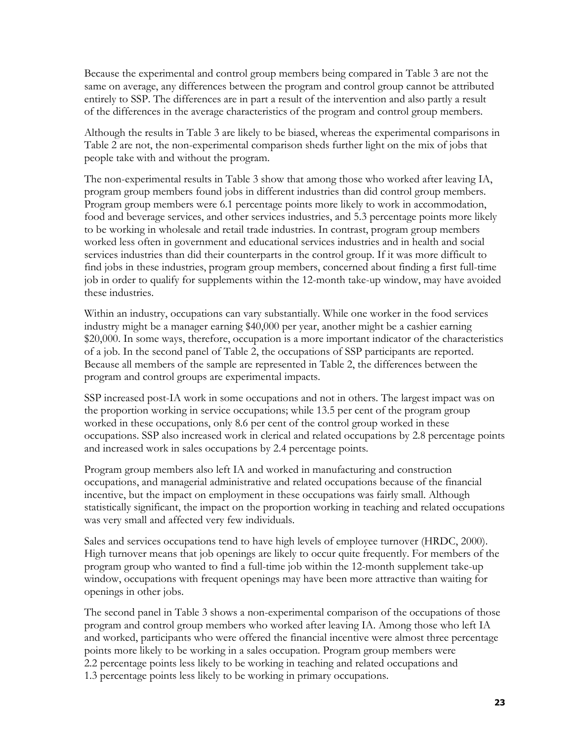Because the experimental and control group members being compared in Table 3 are not the same on average, any differences between the program and control group cannot be attributed entirely to SSP. The differences are in part a result of the intervention and also partly a result of the differences in the average characteristics of the program and control group members.

Although the results in Table 3 are likely to be biased, whereas the experimental comparisons in Table 2 are not, the non-experimental comparison sheds further light on the mix of jobs that people take with and without the program.

The non-experimental results in Table 3 show that among those who worked after leaving IA, program group members found jobs in different industries than did control group members. Program group members were 6.1 percentage points more likely to work in accommodation, food and beverage services, and other services industries, and 5.3 percentage points more likely to be working in wholesale and retail trade industries. In contrast, program group members worked less often in government and educational services industries and in health and social services industries than did their counterparts in the control group. If it was more difficult to find jobs in these industries, program group members, concerned about finding a first full-time job in order to qualify for supplements within the 12-month take-up window, may have avoided these industries.

Within an industry, occupations can vary substantially. While one worker in the food services industry might be a manager earning \$40,000 per year, another might be a cashier earning \$20,000. In some ways, therefore, occupation is a more important indicator of the characteristics of a job. In the second panel of Table 2, the occupations of SSP participants are reported. Because all members of the sample are represented in Table 2, the differences between the program and control groups are experimental impacts.

SSP increased post-IA work in some occupations and not in others. The largest impact was on the proportion working in service occupations; while 13.5 per cent of the program group worked in these occupations, only 8.6 per cent of the control group worked in these occupations. SSP also increased work in clerical and related occupations by 2.8 percentage points and increased work in sales occupations by 2.4 percentage points.

Program group members also left IA and worked in manufacturing and construction occupations, and managerial administrative and related occupations because of the financial incentive, but the impact on employment in these occupations was fairly small. Although statistically significant, the impact on the proportion working in teaching and related occupations was very small and affected very few individuals.

Sales and services occupations tend to have high levels of employee turnover (HRDC, 2000). High turnover means that job openings are likely to occur quite frequently. For members of the program group who wanted to find a full-time job within the 12-month supplement take-up window, occupations with frequent openings may have been more attractive than waiting for openings in other jobs.

The second panel in Table 3 shows a non-experimental comparison of the occupations of those program and control group members who worked after leaving IA. Among those who left IA and worked, participants who were offered the financial incentive were almost three percentage points more likely to be working in a sales occupation. Program group members were 2.2 percentage points less likely to be working in teaching and related occupations and 1.3 percentage points less likely to be working in primary occupations.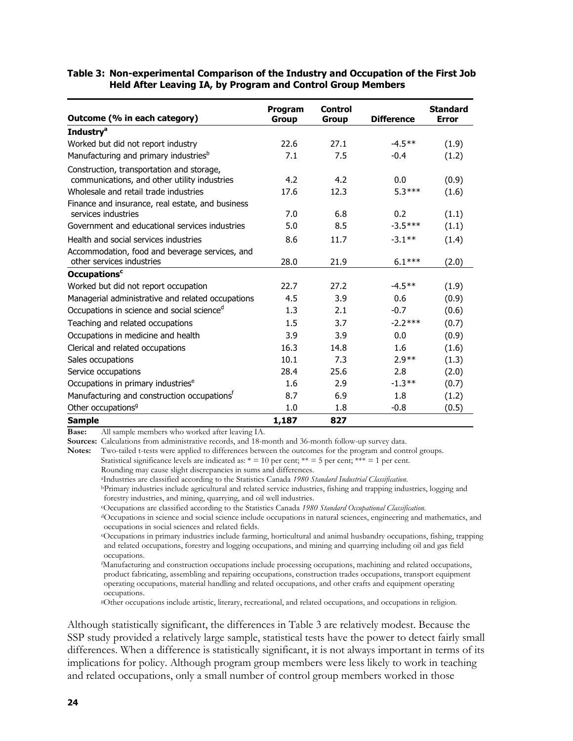#### **Table 3: Non-experimental Comparison of the Industry and Occupation of the First Job Held After Leaving IA, by Program and Control Group Members**

|                                                         | Program | <b>Control</b> |                   | <b>Standard</b> |
|---------------------------------------------------------|---------|----------------|-------------------|-----------------|
| Outcome (% in each category)                            | Group   | Group          | <b>Difference</b> | <b>Error</b>    |
| <b>Industry</b> <sup>a</sup>                            |         |                |                   |                 |
| Worked but did not report industry                      | 22.6    | 27.1           | $-4.5**$          | (1.9)           |
| Manufacturing and primary industries <sup>b</sup>       | 7.1     | 7.5            | $-0.4$            | (1.2)           |
| Construction, transportation and storage,               |         |                |                   |                 |
| communications, and other utility industries            | 4.2     | 4.2            | 0.0               | (0.9)           |
| Wholesale and retail trade industries                   | 17.6    | 12.3           | $5.3***$          | (1.6)           |
| Finance and insurance, real estate, and business        |         |                |                   |                 |
| services industries                                     | 7.0     | 6.8            | 0.2               | (1.1)           |
| Government and educational services industries          | 5.0     | 8.5            | $-3.5***$         | (1.1)           |
| Health and social services industries                   | 8.6     | 11.7           | $-3.1**$          | (1.4)           |
| Accommodation, food and beverage services, and          |         |                |                   |                 |
| other services industries                               | 28.0    | 21.9           | $6.1***$          | (2.0)           |
| <b>Occupations<sup>c</sup></b>                          |         |                |                   |                 |
| Worked but did not report occupation                    | 22.7    | 27.2           | $-4.5**$          | (1.9)           |
| Managerial administrative and related occupations       | 4.5     | 3.9            | 0.6               | (0.9)           |
| Occupations in science and social science <sup>d</sup>  | 1.3     | 2.1            | $-0.7$            | (0.6)           |
| Teaching and related occupations                        | 1.5     | 3.7            | $-2.2***$         | (0.7)           |
| Occupations in medicine and health                      | 3.9     | 3.9            | 0.0               | (0.9)           |
| Clerical and related occupations                        | 16.3    | 14.8           | 1.6               | (1.6)           |
| Sales occupations                                       | 10.1    | 7.3            | $2.9**$           | (1.3)           |
| Service occupations                                     | 28.4    | 25.6           | 2.8               | (2.0)           |
| Occupations in primary industries <sup>e</sup>          | 1.6     | 2.9            | $-1.3**$          | (0.7)           |
| Manufacturing and construction occupations <sup>t</sup> | 8.7     | 6.9            | 1.8               | (1.2)           |
| Other occupations <sup>9</sup>                          | 1.0     | 1.8            | $-0.8$            | (0.5)           |
| <b>Sample</b>                                           | 1,187   | 827            |                   |                 |

**Base:** All sample members who worked after leaving IA.

**Sources:** Calculations from administrative records, and 18-month and 36-month follow-up survey data.

**Notes:** Two-tailed t-tests were applied to differences between the outcomes for the program and control groups. Statistical significance levels are indicated as:  $* = 10$  per cent;  $** = 5$  per cent;  $*** = 1$  per cent.

Rounding may cause slight discrepancies in sums and differences.<br><sup>a</sup>Industries are classified according to the Statistics Canada 1980 Standard Industrial Classification.

<sup>b</sup>Primary industries include agricultural and related service industries, fishing and trapping industries, logging and forestry industries, and mining, quarrying, and oil well industries.<br>
"Occupations are classified according to the Statistics Canada 1980 Standard Occupational Classification.

<sup>d</sup>Occupations in science and social science include occupations in natural sciences, engineering and mathematics, and occupations in social sciences and related fields.

eOccupations in primary industries include farming, horticultural and animal husbandry occupations, fishing, trapping and related occupations, forestry and logging occupations, and mining and quarrying including oil and gas field occupations.

f Manufacturing and construction occupations include processing occupations, machining and related occupations, product fabricating, assembling and repairing occupations, construction trades occupations, transport equipment operating occupations, material handling and related occupations, and other crafts and equipment operating occupations.

gOther occupations include artistic, literary, recreational, and related occupations, and occupations in religion.

Although statistically significant, the differences in Table 3 are relatively modest. Because the SSP study provided a relatively large sample, statistical tests have the power to detect fairly small differences. When a difference is statistically significant, it is not always important in terms of its implications for policy. Although program group members were less likely to work in teaching and related occupations, only a small number of control group members worked in those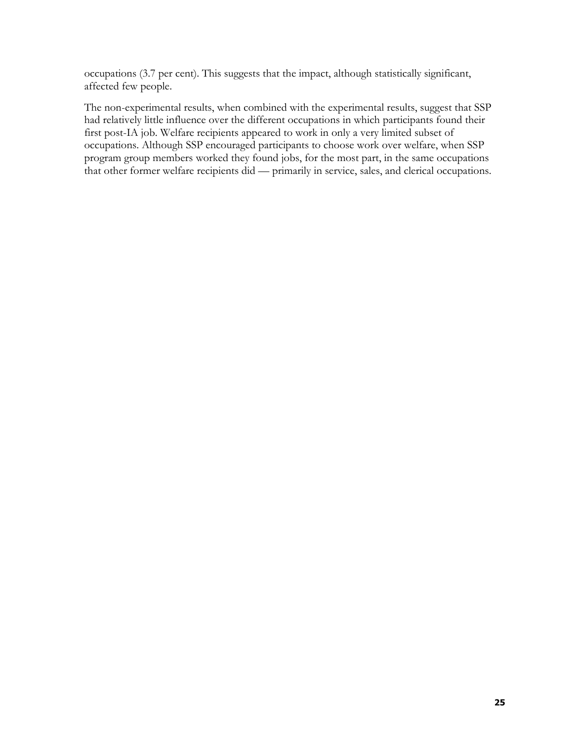occupations (3.7 per cent). This suggests that the impact, although statistically significant, affected few people.

The non-experimental results, when combined with the experimental results, suggest that SSP had relatively little influence over the different occupations in which participants found their first post-IA job. Welfare recipients appeared to work in only a very limited subset of occupations. Although SSP encouraged participants to choose work over welfare, when SSP program group members worked they found jobs, for the most part, in the same occupations that other former welfare recipients did — primarily in service, sales, and clerical occupations.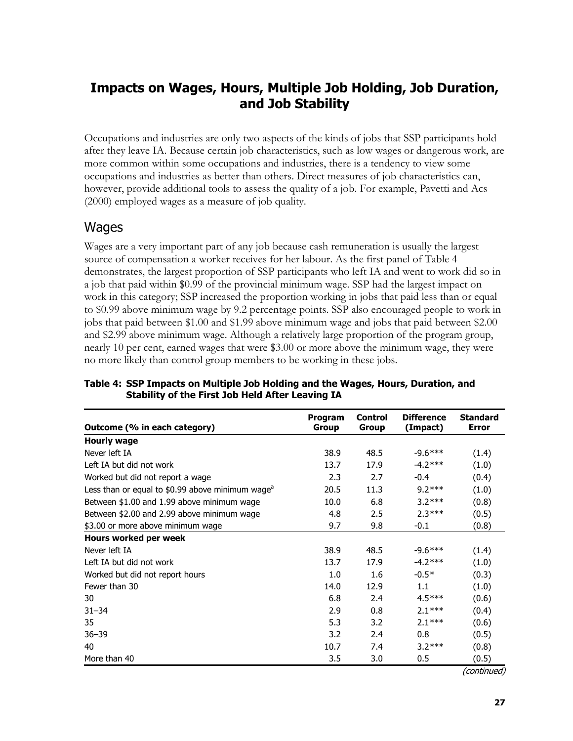## **Impacts on Wages, Hours, Multiple Job Holding, Job Duration, and Job Stability**

Occupations and industries are only two aspects of the kinds of jobs that SSP participants hold after they leave IA. Because certain job characteristics, such as low wages or dangerous work, are more common within some occupations and industries, there is a tendency to view some occupations and industries as better than others. Direct measures of job characteristics can, however, provide additional tools to assess the quality of a job. For example, Pavetti and Acs (2000) employed wages as a measure of job quality.

#### **Wages**

Wages are a very important part of any job because cash remuneration is usually the largest source of compensation a worker receives for her labour. As the first panel of Table 4 demonstrates, the largest proportion of SSP participants who left IA and went to work did so in a job that paid within \$0.99 of the provincial minimum wage. SSP had the largest impact on work in this category; SSP increased the proportion working in jobs that paid less than or equal to \$0.99 above minimum wage by 9.2 percentage points. SSP also encouraged people to work in jobs that paid between \$1.00 and \$1.99 above minimum wage and jobs that paid between \$2.00 and \$2.99 above minimum wage. Although a relatively large proportion of the program group, nearly 10 per cent, earned wages that were \$3.00 or more above the minimum wage, they were no more likely than control group members to be working in these jobs.

|                                                            | Program | <b>Control</b> | <b>Difference</b> | <b>Standard</b> |
|------------------------------------------------------------|---------|----------------|-------------------|-----------------|
| Outcome (% in each category)                               | Group   | Group          | (Impact)          | <b>Error</b>    |
| <b>Hourly wage</b>                                         |         |                |                   |                 |
| Never left IA                                              | 38.9    | 48.5           | $-9.6***$         | (1.4)           |
| Left IA but did not work                                   | 13.7    | 17.9           | $-4.2***$         | (1.0)           |
| Worked but did not report a wage                           | 2.3     | 2.7            | $-0.4$            | (0.4)           |
| Less than or equal to \$0.99 above minimum wage $^{\circ}$ | 20.5    | 11.3           | $9.2***$          | (1.0)           |
| Between \$1.00 and 1.99 above minimum wage                 | 10.0    | 6.8            | $3.2***$          | (0.8)           |
| Between \$2.00 and 2.99 above minimum wage                 | 4.8     | 2.5            | $2.3***$          | (0.5)           |
| \$3.00 or more above minimum wage                          | 9.7     | 9.8            | $-0.1$            | (0.8)           |
| Hours worked per week                                      |         |                |                   |                 |
| Never left IA                                              | 38.9    | 48.5           | $-9.6***$         | (1.4)           |
| Left IA but did not work                                   | 13.7    | 17.9           | $-4.2***$         | (1.0)           |
| Worked but did not report hours                            | 1.0     | 1.6            | $-0.5*$           | (0.3)           |
| Fewer than 30                                              | 14.0    | 12.9           | 1.1               | (1.0)           |
| 30                                                         | 6.8     | 2.4            | $4.5***$          | (0.6)           |
| $31 - 34$                                                  | 2.9     | 0.8            | $2.1***$          | (0.4)           |
| 35                                                         | 5.3     | 3.2            | $2.1***$          | (0.6)           |
| $36 - 39$                                                  | 3.2     | 2.4            | 0.8               | (0.5)           |
| 40                                                         | 10.7    | 7.4            | $3.2***$          | (0.8)           |
| More than 40                                               | 3.5     | 3.0            | 0.5               | (0.5)           |

**Table 4: SSP Impacts on Multiple Job Holding and the Wages, Hours, Duration, and Stability of the First Job Held After Leaving IA** 

(continued)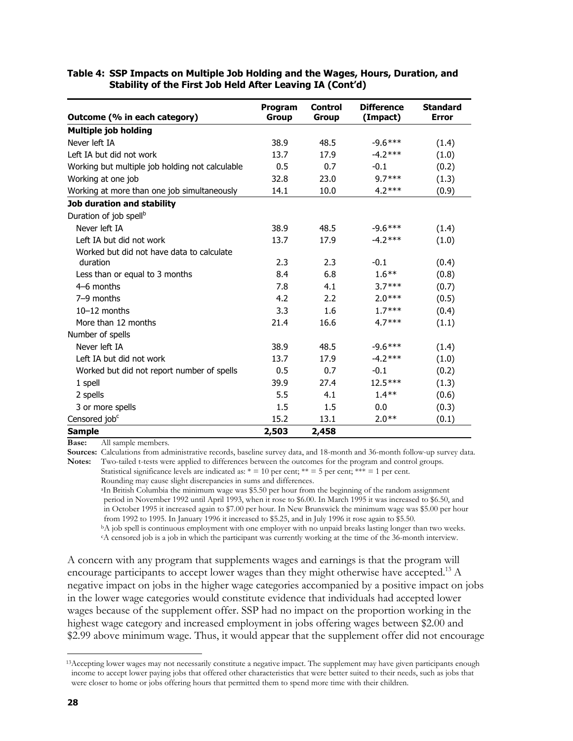| Outcome (% in each category)                    | Program<br><b>Group</b> | <b>Control</b><br><b>Group</b> | <b>Difference</b><br>(Impact) | <b>Standard</b><br><b>Error</b> |
|-------------------------------------------------|-------------------------|--------------------------------|-------------------------------|---------------------------------|
| <b>Multiple job holding</b>                     |                         |                                |                               |                                 |
| Never left IA                                   | 38.9                    | 48.5                           | $-9.6***$                     | (1.4)                           |
| Left IA but did not work                        | 13.7                    | 17.9                           | $-4.2***$                     | (1.0)                           |
| Working but multiple job holding not calculable | 0.5                     | 0.7                            | $-0.1$                        | (0.2)                           |
| Working at one job                              | 32.8                    | 23.0                           | $9.7***$                      | (1.3)                           |
| Working at more than one job simultaneously     | 14.1                    | 10.0                           | $4.2***$                      | (0.9)                           |
| Job duration and stability                      |                         |                                |                               |                                 |
| Duration of job spell <sup>b</sup>              |                         |                                |                               |                                 |
| Never left IA                                   | 38.9                    | 48.5                           | $-9.6***$                     | (1.4)                           |
| Left IA but did not work                        | 13.7                    | 17.9                           | $-4.2***$                     | (1.0)                           |
| Worked but did not have data to calculate       |                         |                                |                               |                                 |
| duration                                        | 2.3                     | 2.3                            | $-0.1$                        | (0.4)                           |
| Less than or equal to 3 months                  | 8.4                     | 6.8                            | $1.6***$                      | (0.8)                           |
| $4-6$ months                                    | 7.8                     | 4.1                            | $3.7***$                      | (0.7)                           |
| $7-9$ months                                    | 4.2                     | 2.2                            | $2.0***$                      | (0.5)                           |
| $10-12$ months                                  | 3.3                     | 1.6                            | $1.7***$                      | (0.4)                           |
| More than 12 months                             | 21.4                    | 16.6                           | $4.7***$                      | (1.1)                           |
| Number of spells                                |                         |                                |                               |                                 |
| Never left IA                                   | 38.9                    | 48.5                           | $-9.6***$                     | (1.4)                           |
| Left IA but did not work                        | 13.7                    | 17.9                           | $-4.2***$                     | (1.0)                           |
| Worked but did not report number of spells      | 0.5                     | 0.7                            | $-0.1$                        | (0.2)                           |
| 1 spell                                         | 39.9                    | 27.4                           | 12.5 ***                      | (1.3)                           |
| 2 spells                                        | 5.5                     | 4.1                            | $1.4***$                      | (0.6)                           |
| 3 or more spells                                | 1.5                     | 1.5                            | 0.0                           | (0.3)                           |
| Censored job <sup>c</sup>                       | 15.2                    | 13.1                           | $2.0**$                       | (0.1)                           |
| <b>Sample</b>                                   | 2,503                   | 2,458                          |                               |                                 |

#### **Table 4: SSP Impacts on Multiple Job Holding and the Wages, Hours, Duration, and Stability of the First Job Held After Leaving IA (Cont'd)**

**Base:** All sample members.

**Sources:** Calculations from administrative records, baseline survey data, and 18-month and 36-month follow-up survey data. **Notes:** Two-tailed t-tests were applied to differences between the outcomes for the program and control groups.

Statistical significance levels are indicated as:  $* = 10$  per cent;  $** = 5$  per cent;  $*** = 1$  per cent. Rounding may cause slight discrepancies in sums and differences.

<sup>a</sup>In British Columbia the minimum wage was \$5.50 per hour from the beginning of the random assignment period in November 1992 until April 1993, when it rose to \$6.00. In March 1995 it was increased to \$6.50, and in October 1995 it increased again to \$7.00 per hour. In New Brunswick the minimum wage was \$5.00 per hour from 1992 to 1995. In January 1996 it increased to \$5.25, and in July 1996 it rose again to \$5.50. <sup>b</sup>A job spell is continuous employment with one employer with no unpaid breaks lasting longer than two weeks.

cA censored job is a job in which the participant was currently working at the time of the 36-month interview.

A concern with any program that supplements wages and earnings is that the program will encourage participants to accept lower wages than they might otherwise have accepted.<sup>13</sup>  $\Lambda$ negative impact on jobs in the higher wage categories accompanied by a positive impact on jobs in the lower wage categories would constitute evidence that individuals had accepted lower wages because of the supplement offer. SSP had no impact on the proportion working in the highest wage category and increased employment in jobs offering wages between \$2.00 and \$2.99 above minimum wage. Thus, it would appear that the supplement offer did not encourage

j

<sup>&</sup>lt;sup>13</sup>Accepting lower wages may not necessarily constitute a negative impact. The supplement may have given participants enough income to accept lower paying jobs that offered other characteristics that were better suited to their needs, such as jobs that were closer to home or jobs offering hours that permitted them to spend more time with their children.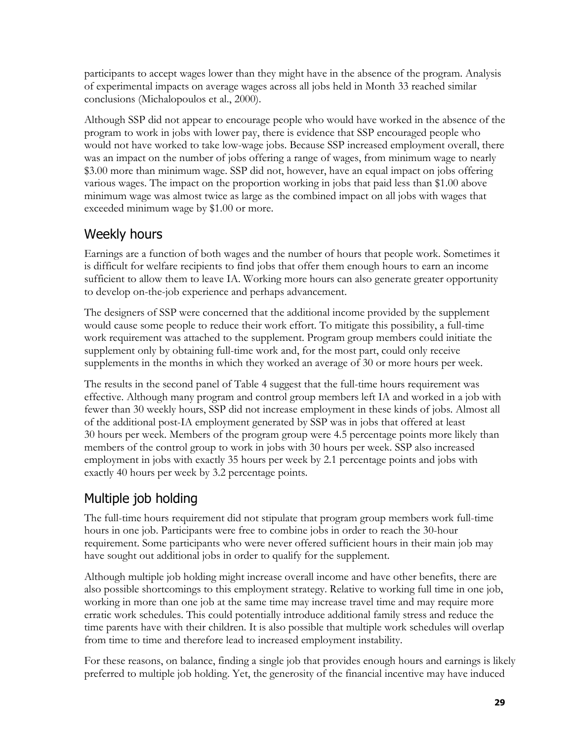participants to accept wages lower than they might have in the absence of the program. Analysis of experimental impacts on average wages across all jobs held in Month 33 reached similar conclusions (Michalopoulos et al., 2000).

Although SSP did not appear to encourage people who would have worked in the absence of the program to work in jobs with lower pay, there is evidence that SSP encouraged people who would not have worked to take low-wage jobs. Because SSP increased employment overall, there was an impact on the number of jobs offering a range of wages, from minimum wage to nearly \$3.00 more than minimum wage. SSP did not, however, have an equal impact on jobs offering various wages. The impact on the proportion working in jobs that paid less than \$1.00 above minimum wage was almost twice as large as the combined impact on all jobs with wages that exceeded minimum wage by \$1.00 or more.

## Weekly hours

Earnings are a function of both wages and the number of hours that people work. Sometimes it is difficult for welfare recipients to find jobs that offer them enough hours to earn an income sufficient to allow them to leave IA. Working more hours can also generate greater opportunity to develop on-the-job experience and perhaps advancement.

The designers of SSP were concerned that the additional income provided by the supplement would cause some people to reduce their work effort. To mitigate this possibility, a full-time work requirement was attached to the supplement. Program group members could initiate the supplement only by obtaining full-time work and, for the most part, could only receive supplements in the months in which they worked an average of 30 or more hours per week.

The results in the second panel of Table 4 suggest that the full-time hours requirement was effective. Although many program and control group members left IA and worked in a job with fewer than 30 weekly hours, SSP did not increase employment in these kinds of jobs. Almost all of the additional post-IA employment generated by SSP was in jobs that offered at least 30 hours per week. Members of the program group were 4.5 percentage points more likely than members of the control group to work in jobs with 30 hours per week. SSP also increased employment in jobs with exactly 35 hours per week by 2.1 percentage points and jobs with exactly 40 hours per week by 3.2 percentage points.

## Multiple job holding

The full-time hours requirement did not stipulate that program group members work full-time hours in one job. Participants were free to combine jobs in order to reach the 30-hour requirement. Some participants who were never offered sufficient hours in their main job may have sought out additional jobs in order to qualify for the supplement.

Although multiple job holding might increase overall income and have other benefits, there are also possible shortcomings to this employment strategy. Relative to working full time in one job, working in more than one job at the same time may increase travel time and may require more erratic work schedules. This could potentially introduce additional family stress and reduce the time parents have with their children. It is also possible that multiple work schedules will overlap from time to time and therefore lead to increased employment instability.

For these reasons, on balance, finding a single job that provides enough hours and earnings is likely preferred to multiple job holding. Yet, the generosity of the financial incentive may have induced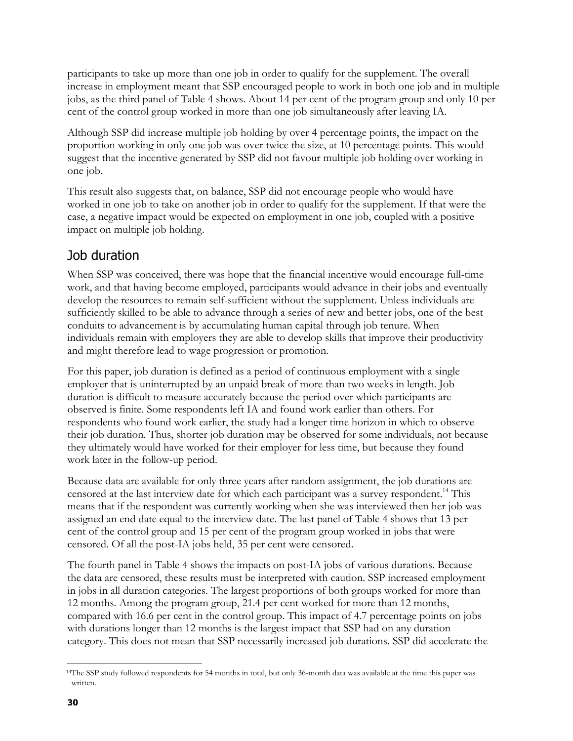participants to take up more than one job in order to qualify for the supplement. The overall increase in employment meant that SSP encouraged people to work in both one job and in multiple jobs, as the third panel of Table 4 shows. About 14 per cent of the program group and only 10 per cent of the control group worked in more than one job simultaneously after leaving IA.

Although SSP did increase multiple job holding by over 4 percentage points, the impact on the proportion working in only one job was over twice the size, at 10 percentage points. This would suggest that the incentive generated by SSP did not favour multiple job holding over working in one job.

This result also suggests that, on balance, SSP did not encourage people who would have worked in one job to take on another job in order to qualify for the supplement. If that were the case, a negative impact would be expected on employment in one job, coupled with a positive impact on multiple job holding.

### Job duration

When SSP was conceived, there was hope that the financial incentive would encourage full-time work, and that having become employed, participants would advance in their jobs and eventually develop the resources to remain self-sufficient without the supplement. Unless individuals are sufficiently skilled to be able to advance through a series of new and better jobs, one of the best conduits to advancement is by accumulating human capital through job tenure. When individuals remain with employers they are able to develop skills that improve their productivity and might therefore lead to wage progression or promotion.

For this paper, job duration is defined as a period of continuous employment with a single employer that is uninterrupted by an unpaid break of more than two weeks in length. Job duration is difficult to measure accurately because the period over which participants are observed is finite. Some respondents left IA and found work earlier than others. For respondents who found work earlier, the study had a longer time horizon in which to observe their job duration. Thus, shorter job duration may be observed for some individuals, not because they ultimately would have worked for their employer for less time, but because they found work later in the follow-up period.

Because data are available for only three years after random assignment, the job durations are censored at the last interview date for which each participant was a survey respondent.<sup>14</sup> This means that if the respondent was currently working when she was interviewed then her job was assigned an end date equal to the interview date. The last panel of Table 4 shows that 13 per cent of the control group and 15 per cent of the program group worked in jobs that were censored. Of all the post-IA jobs held, 35 per cent were censored.

The fourth panel in Table 4 shows the impacts on post-IA jobs of various durations. Because the data are censored, these results must be interpreted with caution. SSP increased employment in jobs in all duration categories. The largest proportions of both groups worked for more than 12 months. Among the program group, 21.4 per cent worked for more than 12 months, compared with 16.6 per cent in the control group. This impact of 4.7 percentage points on jobs with durations longer than 12 months is the largest impact that SSP had on any duration category. This does not mean that SSP necessarily increased job durations. SSP did accelerate the

l

<sup>14</sup>The SSP study followed respondents for 54 months in total, but only 36-month data was available at the time this paper was written.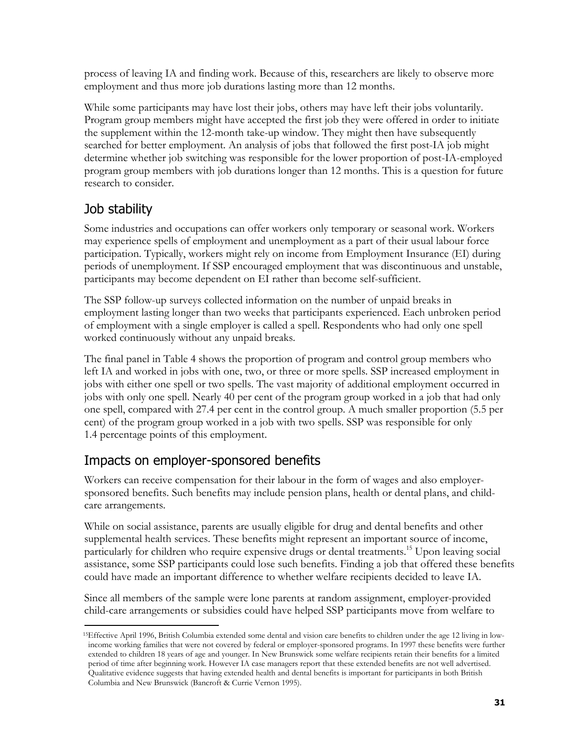process of leaving IA and finding work. Because of this, researchers are likely to observe more employment and thus more job durations lasting more than 12 months.

While some participants may have lost their jobs, others may have left their jobs voluntarily. Program group members might have accepted the first job they were offered in order to initiate the supplement within the 12-month take-up window. They might then have subsequently searched for better employment. An analysis of jobs that followed the first post-IA job might determine whether job switching was responsible for the lower proportion of post-IA-employed program group members with job durations longer than 12 months. This is a question for future research to consider.

### Job stability

l

Some industries and occupations can offer workers only temporary or seasonal work. Workers may experience spells of employment and unemployment as a part of their usual labour force participation. Typically, workers might rely on income from Employment Insurance (EI) during periods of unemployment. If SSP encouraged employment that was discontinuous and unstable, participants may become dependent on EI rather than become self-sufficient.

The SSP follow-up surveys collected information on the number of unpaid breaks in employment lasting longer than two weeks that participants experienced. Each unbroken period of employment with a single employer is called a spell. Respondents who had only one spell worked continuously without any unpaid breaks.

The final panel in Table 4 shows the proportion of program and control group members who left IA and worked in jobs with one, two, or three or more spells. SSP increased employment in jobs with either one spell or two spells. The vast majority of additional employment occurred in jobs with only one spell. Nearly 40 per cent of the program group worked in a job that had only one spell, compared with 27.4 per cent in the control group. A much smaller proportion (5.5 per cent) of the program group worked in a job with two spells. SSP was responsible for only 1.4 percentage points of this employment.

## Impacts on employer-sponsored benefits

Workers can receive compensation for their labour in the form of wages and also employersponsored benefits. Such benefits may include pension plans, health or dental plans, and childcare arrangements.

While on social assistance, parents are usually eligible for drug and dental benefits and other supplemental health services. These benefits might represent an important source of income, particularly for children who require expensive drugs or dental treatments.<sup>15</sup> Upon leaving social assistance, some SSP participants could lose such benefits. Finding a job that offered these benefits could have made an important difference to whether welfare recipients decided to leave IA.

Since all members of the sample were lone parents at random assignment, employer-provided child-care arrangements or subsidies could have helped SSP participants move from welfare to

<sup>&</sup>lt;sup>15</sup>Effective April 1996, British Columbia extended some dental and vision care benefits to children under the age 12 living in lowincome working families that were not covered by federal or employer-sponsored programs. In 1997 these benefits were further extended to children 18 years of age and younger. In New Brunswick some welfare recipients retain their benefits for a limited period of time after beginning work. However IA case managers report that these extended benefits are not well advertised. Qualitative evidence suggests that having extended health and dental benefits is important for participants in both British Columbia and New Brunswick (Bancroft & Currie Vernon 1995).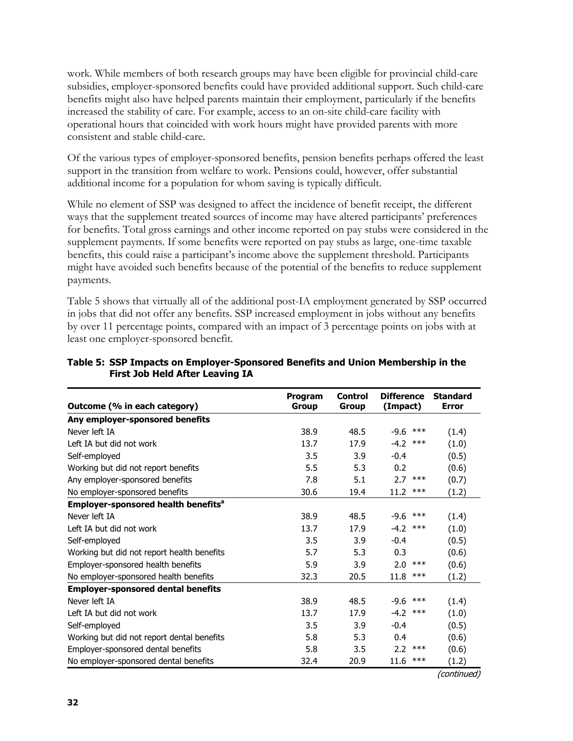work. While members of both research groups may have been eligible for provincial child-care subsidies, employer-sponsored benefits could have provided additional support. Such child-care benefits might also have helped parents maintain their employment, particularly if the benefits increased the stability of care. For example, access to an on-site child-care facility with operational hours that coincided with work hours might have provided parents with more consistent and stable child-care.

Of the various types of employer-sponsored benefits, pension benefits perhaps offered the least support in the transition from welfare to work. Pensions could, however, offer substantial additional income for a population for whom saving is typically difficult.

While no element of SSP was designed to affect the incidence of benefit receipt, the different ways that the supplement treated sources of income may have altered participants' preferences for benefits. Total gross earnings and other income reported on pay stubs were considered in the supplement payments. If some benefits were reported on pay stubs as large, one-time taxable benefits, this could raise a participant's income above the supplement threshold. Participants might have avoided such benefits because of the potential of the benefits to reduce supplement payments.

Table 5 shows that virtually all of the additional post-IA employment generated by SSP occurred in jobs that did not offer any benefits. SSP increased employment in jobs without any benefits by over 11 percentage points, compared with an impact of 3 percentage points on jobs with at least one employer-sponsored benefit.

| Outcome (% in each category)                    | <b>Program</b><br>Group | <b>Control</b><br><b>Group</b> | <b>Difference</b><br>(Impact) | <b>Standard</b><br><b>Error</b> |
|-------------------------------------------------|-------------------------|--------------------------------|-------------------------------|---------------------------------|
| Any employer-sponsored benefits                 |                         |                                |                               |                                 |
| Never left IA                                   | 38.9                    | 48.5                           | -9.6<br>$***$                 | (1.4)                           |
| Left IA but did not work                        | 13.7                    | 17.9                           | $-4.2$<br>$***$               | (1.0)                           |
| Self-employed                                   | 3.5                     | 3.9                            | $-0.4$                        | (0.5)                           |
| Working but did not report benefits             | 5.5                     | 5.3                            | 0.2                           | (0.6)                           |
| Any employer-sponsored benefits                 | 7.8                     | 5.1                            | $***$<br>2.7                  | (0.7)                           |
| No employer-sponsored benefits                  | 30.6                    | 19.4                           | $***$<br>11.2                 | (1.2)                           |
| Employer-sponsored health benefits <sup>a</sup> |                         |                                |                               |                                 |
| Never left IA                                   | 38.9                    | 48.5                           | -9.6<br>$***$                 | (1.4)                           |
| Left IA but did not work                        | 13.7                    | 17.9                           | $-4.2$<br>$***$               | (1.0)                           |
| Self-employed                                   | 3.5                     | 3.9                            | $-0.4$                        | (0.5)                           |
| Working but did not report health benefits      | 5.7                     | 5.3                            | 0.3                           | (0.6)                           |
| Employer-sponsored health benefits              | 5.9                     | 3.9                            | 2.0<br>$***$                  | (0.6)                           |
| No employer-sponsored health benefits           | 32.3                    | 20.5                           | 11.8<br>$***$                 | (1.2)                           |
| <b>Employer-sponsored dental benefits</b>       |                         |                                |                               |                                 |
| Never left IA                                   | 38.9                    | 48.5                           | -9.6<br>***                   | (1.4)                           |
| Left IA but did not work                        | 13.7                    | 17.9                           | $-4.2$ ***                    | (1.0)                           |
| Self-employed                                   | 3.5                     | 3.9                            | $-0.4$                        | (0.5)                           |
| Working but did not report dental benefits      | 5.8                     | 5.3                            | 0.4                           | (0.6)                           |
| Employer-sponsored dental benefits              | 5.8                     | 3.5                            | $2.2$ ***                     | (0.6)                           |
| No employer-sponsored dental benefits           | 32.4                    | 20.9                           | $***$<br>11.6                 | (1.2)                           |
|                                                 |                         |                                |                               | $($ aantin $($ ad)              |

#### **Table 5: SSP Impacts on Employer-Sponsored Benefits and Union Membership in the First Job Held After Leaving IA**

(continued)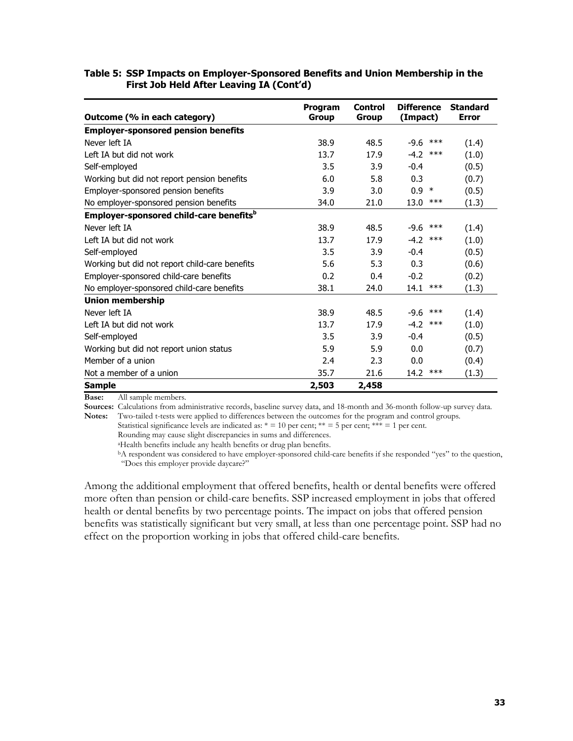#### **Table 5: SSP Impacts on Employer-Sponsored Benefits and Union Membership in the First Job Held After Leaving IA (Cont'd)**

|                                                     | Program      | <b>Control</b> | <b>Difference</b> | <b>Standard</b> |
|-----------------------------------------------------|--------------|----------------|-------------------|-----------------|
| Outcome (% in each category)                        | <b>Group</b> | <b>Group</b>   | (Impact)          | <b>Error</b>    |
| <b>Employer-sponsored pension benefits</b>          |              |                |                   |                 |
| Never left IA                                       | 38.9         | 48.5           | $***$<br>$-9.6$   | (1.4)           |
| Left IA but did not work                            | 13.7         | 17.9           | $-4.2$<br>$***$   | (1.0)           |
| Self-employed                                       | 3.5          | 3.9            | $-0.4$            | (0.5)           |
| Working but did not report pension benefits         | 6.0          | 5.8            | 0.3               | (0.7)           |
| Employer-sponsored pension benefits                 | 3.9          | 3.0            | $0.9 *$           | (0.5)           |
| No employer-sponsored pension benefits              | 34.0         | 21.0           | 13.0<br>$***$     | (1.3)           |
| Employer-sponsored child-care benefits <sup>b</sup> |              |                |                   |                 |
| Never left TA                                       | 38.9         | 48.5           | $***$<br>-9.6     | (1.4)           |
| Left IA but did not work                            | 13.7         | 17.9           | $-4.2$<br>$***$   | (1.0)           |
| Self-employed                                       | 3.5          | 3.9            | $-0.4$            | (0.5)           |
| Working but did not report child-care benefits      | 5.6          | 5.3            | 0.3               | (0.6)           |
| Employer-sponsored child-care benefits              | 0.2          | 0.4            | $-0.2$            | (0.2)           |
| No employer-sponsored child-care benefits           | 38.1         | 24.0           | $***$<br>14.1     | (1.3)           |
| <b>Union membership</b>                             |              |                |                   |                 |
| Never left IA                                       | 38.9         | 48.5           | $-9.6$<br>$***$   | (1.4)           |
| Left IA but did not work                            | 13.7         | 17.9           | $-4.2$<br>***     | (1.0)           |
| Self-employed                                       | 3.5          | 3.9            | $-0.4$            | (0.5)           |
| Working but did not report union status             | 5.9          | 5.9            | 0.0               | (0.7)           |
| Member of a union                                   | 2.4          | 2.3            | 0.0               | (0.4)           |
| Not a member of a union                             | 35.7         | 21.6           | $***$<br>14.2     | (1.3)           |
| <b>Sample</b>                                       | 2,503        | 2,458          |                   |                 |

**Base:** All sample members.

**Sources:** Calculations from administrative records, baseline survey data, and 18-month and 36-month follow-up survey data. **Notes:** Two-tailed t-tests were applied to differences between the outcomes for the program and control groups.

Statistical significance levels are indicated as:  $* = 10$  per cent;  $** = 5$  per cent;  $*** = 1$  per cent.

Rounding may cause slight discrepancies in sums and differences.

aHealth benefits include any health benefits or drug plan benefits.

bA respondent was considered to have employer-sponsored child-care benefits if she responded "yes" to the question, "Does this employer provide daycare?"

Among the additional employment that offered benefits, health or dental benefits were offered more often than pension or child-care benefits. SSP increased employment in jobs that offered health or dental benefits by two percentage points. The impact on jobs that offered pension benefits was statistically significant but very small, at less than one percentage point. SSP had no effect on the proportion working in jobs that offered child-care benefits.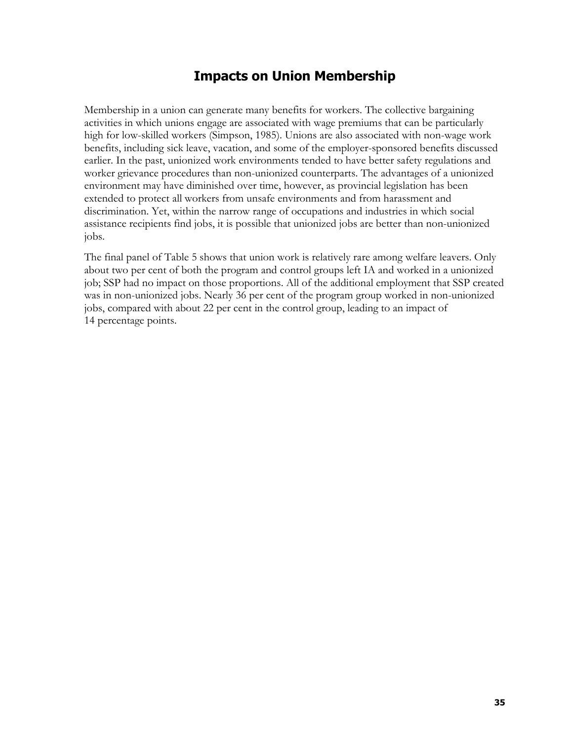### **Impacts on Union Membership**

Membership in a union can generate many benefits for workers. The collective bargaining activities in which unions engage are associated with wage premiums that can be particularly high for low-skilled workers (Simpson, 1985). Unions are also associated with non-wage work benefits, including sick leave, vacation, and some of the employer-sponsored benefits discussed earlier. In the past, unionized work environments tended to have better safety regulations and worker grievance procedures than non-unionized counterparts. The advantages of a unionized environment may have diminished over time, however, as provincial legislation has been extended to protect all workers from unsafe environments and from harassment and discrimination. Yet, within the narrow range of occupations and industries in which social assistance recipients find jobs, it is possible that unionized jobs are better than non-unionized jobs.

The final panel of Table 5 shows that union work is relatively rare among welfare leavers. Only about two per cent of both the program and control groups left IA and worked in a unionized job; SSP had no impact on those proportions. All of the additional employment that SSP created was in non-unionized jobs. Nearly 36 per cent of the program group worked in non-unionized jobs, compared with about 22 per cent in the control group, leading to an impact of 14 percentage points.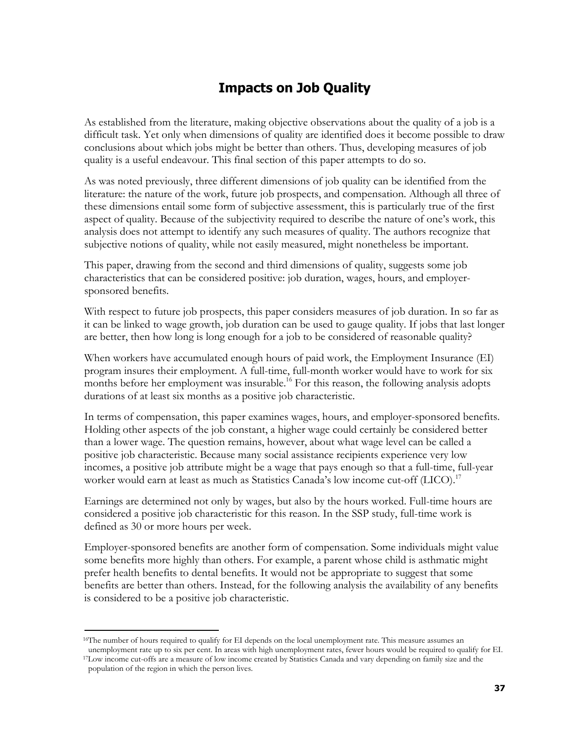## **Impacts on Job Quality**

As established from the literature, making objective observations about the quality of a job is a difficult task. Yet only when dimensions of quality are identified does it become possible to draw conclusions about which jobs might be better than others. Thus, developing measures of job quality is a useful endeavour. This final section of this paper attempts to do so.

As was noted previously, three different dimensions of job quality can be identified from the literature: the nature of the work, future job prospects, and compensation. Although all three of these dimensions entail some form of subjective assessment, this is particularly true of the first aspect of quality. Because of the subjectivity required to describe the nature of one's work, this analysis does not attempt to identify any such measures of quality. The authors recognize that subjective notions of quality, while not easily measured, might nonetheless be important.

This paper, drawing from the second and third dimensions of quality, suggests some job characteristics that can be considered positive: job duration, wages, hours, and employersponsored benefits.

With respect to future job prospects, this paper considers measures of job duration. In so far as it can be linked to wage growth, job duration can be used to gauge quality. If jobs that last longer are better, then how long is long enough for a job to be considered of reasonable quality?

When workers have accumulated enough hours of paid work, the Employment Insurance (EI) program insures their employment. A full-time, full-month worker would have to work for six months before her employment was insurable.<sup>16</sup> For this reason, the following analysis adopts durations of at least six months as a positive job characteristic.

In terms of compensation, this paper examines wages, hours, and employer-sponsored benefits. Holding other aspects of the job constant, a higher wage could certainly be considered better than a lower wage. The question remains, however, about what wage level can be called a positive job characteristic. Because many social assistance recipients experience very low incomes, a positive job attribute might be a wage that pays enough so that a full-time, full-year worker would earn at least as much as Statistics Canada's low income cut-off (LICO).<sup>17</sup>

Earnings are determined not only by wages, but also by the hours worked. Full-time hours are considered a positive job characteristic for this reason. In the SSP study, full-time work is defined as 30 or more hours per week.

Employer-sponsored benefits are another form of compensation. Some individuals might value some benefits more highly than others. For example, a parent whose child is asthmatic might prefer health benefits to dental benefits. It would not be appropriate to suggest that some benefits are better than others. Instead, for the following analysis the availability of any benefits is considered to be a positive job characteristic.

l

<sup>&</sup>lt;sup>16</sup>The number of hours required to qualify for EI depends on the local unemployment rate. This measure assumes an

unemployment rate up to six per cent. In areas with high unemployment rates, fewer hours would be required to qualify for EI. 17Low income cut-offs are a measure of low income created by Statistics Canada and vary depending on family size and the population of the region in which the person lives.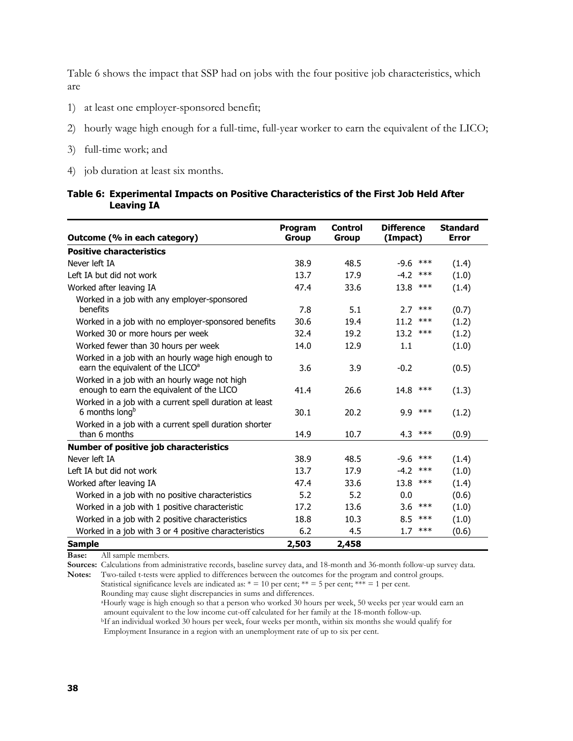Table 6 shows the impact that SSP had on jobs with the four positive job characteristics, which are

- 1) at least one employer-sponsored benefit;
- 2) hourly wage high enough for a full-time, full-year worker to earn the equivalent of the LICO;
- 3) full-time work; and
- 4) job duration at least six months.

#### **Table 6: Experimental Impacts on Positive Characteristics of the First Job Held After Leaving IA**

| Outcome (% in each category)                                                                       | Program<br><b>Group</b> | <b>Control</b><br><b>Group</b> | <b>Difference</b><br>(Impact) | <b>Standard</b><br><b>Error</b> |
|----------------------------------------------------------------------------------------------------|-------------------------|--------------------------------|-------------------------------|---------------------------------|
| <b>Positive characteristics</b>                                                                    |                         |                                |                               |                                 |
| Never left IA                                                                                      | 38.9                    | 48.5                           | $-9.6$<br>$***$               |                                 |
|                                                                                                    |                         |                                |                               | (1.4)                           |
| Left IA but did not work                                                                           | 13.7                    | 17.9                           | $-4.2$<br>$***$               | (1.0)                           |
| Worked after leaving IA                                                                            | 47.4                    | 33.6                           | 13.8<br>$***$                 | (1.4)                           |
| Worked in a job with any employer-sponsored<br>benefits                                            | 7.8                     | 5.1                            | 2.7<br>***                    | (0.7)                           |
| Worked in a job with no employer-sponsored benefits                                                | 30.6                    | 19.4                           | $***$<br>11.2                 | (1.2)                           |
| Worked 30 or more hours per week                                                                   | 32.4                    | 19.2                           | 13.2<br>$***$                 | (1.2)                           |
| Worked fewer than 30 hours per week                                                                | 14.0                    | 12.9                           | 1.1                           | (1.0)                           |
| Worked in a job with an hourly wage high enough to<br>earn the equivalent of the LICO <sup>a</sup> | 3.6                     |                                |                               |                                 |
|                                                                                                    |                         | 3.9                            | $-0.2$                        | (0.5)                           |
| Worked in a job with an hourly wage not high<br>enough to earn the equivalent of the LICO          | 41.4                    | 26.6                           | 14.8<br>***                   | (1.3)                           |
| Worked in a job with a current spell duration at least<br>6 months long <sup>b</sup>               | 30.1                    | 20.2                           | $***$<br>9.9                  | (1.2)                           |
| Worked in a job with a current spell duration shorter<br>than 6 months                             | 14.9                    | 10.7                           | 4.3<br>***                    | (0.9)                           |
| Number of positive job characteristics                                                             |                         |                                |                               |                                 |
| Never left IA                                                                                      | 38.9                    | 48.5                           | $-9.6$<br>***                 | (1.4)                           |
| Left IA but did not work                                                                           | 13.7                    | 17.9                           | $-4.2$<br>$***$               | (1.0)                           |
| Worked after leaving IA                                                                            | 47.4                    | 33.6                           | 13.8<br>$***$                 | (1.4)                           |
| Worked in a job with no positive characteristics                                                   | 5.2                     | 5.2                            | 0.0                           | (0.6)                           |
| Worked in a job with 1 positive characteristic                                                     | 17.2                    | 13.6                           | $***$<br>3.6                  | (1.0)                           |
| Worked in a job with 2 positive characteristics                                                    | 18.8                    | 10.3                           | $***$<br>8.5                  | (1.0)                           |
| Worked in a job with 3 or 4 positive characteristics                                               | 6.2                     | 4.5                            | $***$<br>1.7                  | (0.6)                           |
| <b>Sample</b>                                                                                      | 2,503                   | 2,458                          |                               |                                 |

**Base:** All sample members.

**Sources:** Calculations from administrative records, baseline survey data, and 18-month and 36-month follow-up survey data.

**Notes:** Two-tailed t-tests were applied to differences between the outcomes for the program and control groups. Statistical significance levels are indicated as:  $* = 10$  per cent;  $** = 5$  per cent;  $*** = 1$  per cent.

Rounding may cause slight discrepancies in sums and differences.

aHourly wage is high enough so that a person who worked 30 hours per week, 50 weeks per year would earn an amount equivalent to the low income cut-off calculated for her family at the 18-month follow-up.

bIf an individual worked 30 hours per week, four weeks per month, within six months she would qualify for Employment Insurance in a region with an unemployment rate of up to six per cent.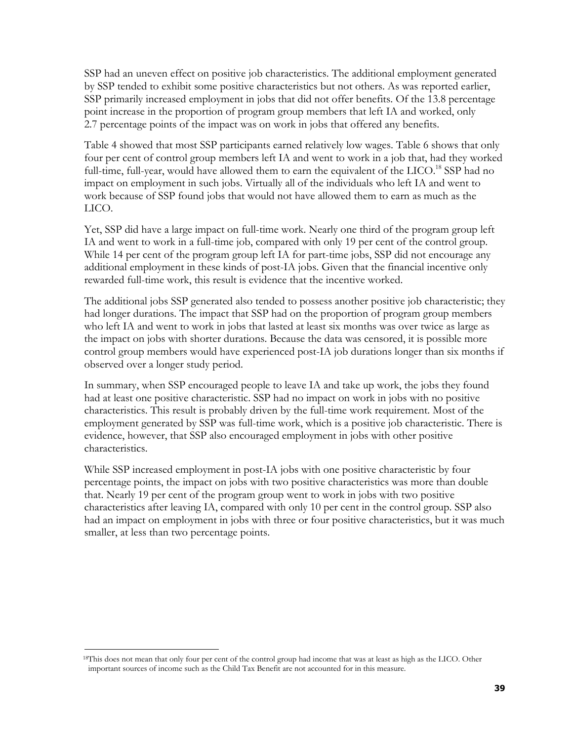SSP had an uneven effect on positive job characteristics. The additional employment generated by SSP tended to exhibit some positive characteristics but not others. As was reported earlier, SSP primarily increased employment in jobs that did not offer benefits. Of the 13.8 percentage point increase in the proportion of program group members that left IA and worked, only 2.7 percentage points of the impact was on work in jobs that offered any benefits.

Table 4 showed that most SSP participants earned relatively low wages. Table 6 shows that only four per cent of control group members left IA and went to work in a job that, had they worked full-time, full-year, would have allowed them to earn the equivalent of the LICO.<sup>18</sup> SSP had no impact on employment in such jobs. Virtually all of the individuals who left IA and went to work because of SSP found jobs that would not have allowed them to earn as much as the LICO.

Yet, SSP did have a large impact on full-time work. Nearly one third of the program group left IA and went to work in a full-time job, compared with only 19 per cent of the control group. While 14 per cent of the program group left IA for part-time jobs, SSP did not encourage any additional employment in these kinds of post-IA jobs. Given that the financial incentive only rewarded full-time work, this result is evidence that the incentive worked.

The additional jobs SSP generated also tended to possess another positive job characteristic; they had longer durations. The impact that SSP had on the proportion of program group members who left IA and went to work in jobs that lasted at least six months was over twice as large as the impact on jobs with shorter durations. Because the data was censored, it is possible more control group members would have experienced post-IA job durations longer than six months if observed over a longer study period.

In summary, when SSP encouraged people to leave IA and take up work, the jobs they found had at least one positive characteristic. SSP had no impact on work in jobs with no positive characteristics. This result is probably driven by the full-time work requirement. Most of the employment generated by SSP was full-time work, which is a positive job characteristic. There is evidence, however, that SSP also encouraged employment in jobs with other positive characteristics.

While SSP increased employment in post-IA jobs with one positive characteristic by four percentage points, the impact on jobs with two positive characteristics was more than double that. Nearly 19 per cent of the program group went to work in jobs with two positive characteristics after leaving IA, compared with only 10 per cent in the control group. SSP also had an impact on employment in jobs with three or four positive characteristics, but it was much smaller, at less than two percentage points.

l

<sup>&</sup>lt;sup>18</sup>This does not mean that only four per cent of the control group had income that was at least as high as the LICO. Other important sources of income such as the Child Tax Benefit are not accounted for in this measure.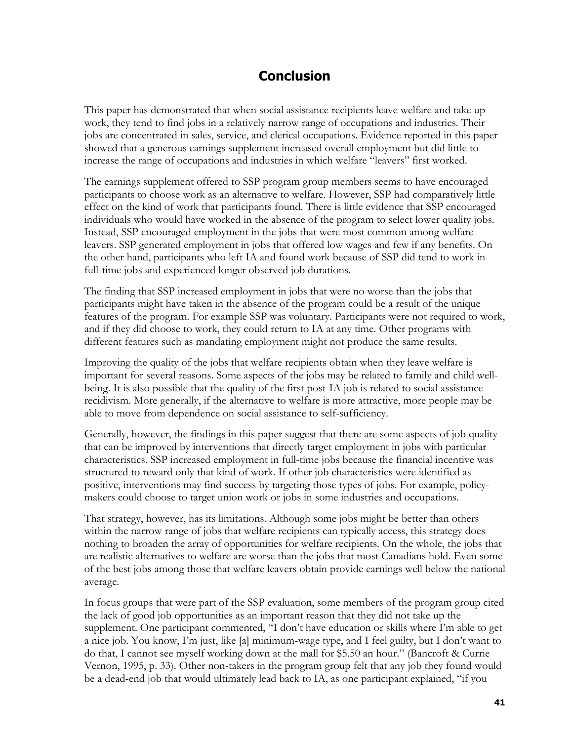### **Conclusion**

This paper has demonstrated that when social assistance recipients leave welfare and take up work, they tend to find jobs in a relatively narrow range of occupations and industries. Their jobs are concentrated in sales, service, and clerical occupations. Evidence reported in this paper showed that a generous earnings supplement increased overall employment but did little to increase the range of occupations and industries in which welfare "leavers" first worked.

The earnings supplement offered to SSP program group members seems to have encouraged participants to choose work as an alternative to welfare. However, SSP had comparatively little effect on the kind of work that participants found. There is little evidence that SSP encouraged individuals who would have worked in the absence of the program to select lower quality jobs. Instead, SSP encouraged employment in the jobs that were most common among welfare leavers. SSP generated employment in jobs that offered low wages and few if any benefits. On the other hand, participants who left IA and found work because of SSP did tend to work in full-time jobs and experienced longer observed job durations.

The finding that SSP increased employment in jobs that were no worse than the jobs that participants might have taken in the absence of the program could be a result of the unique features of the program. For example SSP was voluntary. Participants were not required to work, and if they did choose to work, they could return to IA at any time. Other programs with different features such as mandating employment might not produce the same results.

Improving the quality of the jobs that welfare recipients obtain when they leave welfare is important for several reasons. Some aspects of the jobs may be related to family and child wellbeing. It is also possible that the quality of the first post-IA job is related to social assistance recidivism. More generally, if the alternative to welfare is more attractive, more people may be able to move from dependence on social assistance to self-sufficiency.

Generally, however, the findings in this paper suggest that there are some aspects of job quality that can be improved by interventions that directly target employment in jobs with particular characteristics. SSP increased employment in full-time jobs because the financial incentive was structured to reward only that kind of work. If other job characteristics were identified as positive, interventions may find success by targeting those types of jobs. For example, policymakers could choose to target union work or jobs in some industries and occupations.

That strategy, however, has its limitations. Although some jobs might be better than others within the narrow range of jobs that welfare recipients can typically access, this strategy does nothing to broaden the array of opportunities for welfare recipients. On the whole, the jobs that are realistic alternatives to welfare are worse than the jobs that most Canadians hold. Even some of the best jobs among those that welfare leavers obtain provide earnings well below the national average.

In focus groups that were part of the SSP evaluation, some members of the program group cited the lack of good job opportunities as an important reason that they did not take up the supplement. One participant commented, "I don't have education or skills where I'm able to get a nice job. You know, I'm just, like [a] minimum-wage type, and I feel guilty, but I don't want to do that, I cannot see myself working down at the mall for \$5.50 an hour." (Bancroft & Currie Vernon, 1995, p. 33). Other non-takers in the program group felt that any job they found would be a dead-end job that would ultimately lead back to IA, as one participant explained, "if you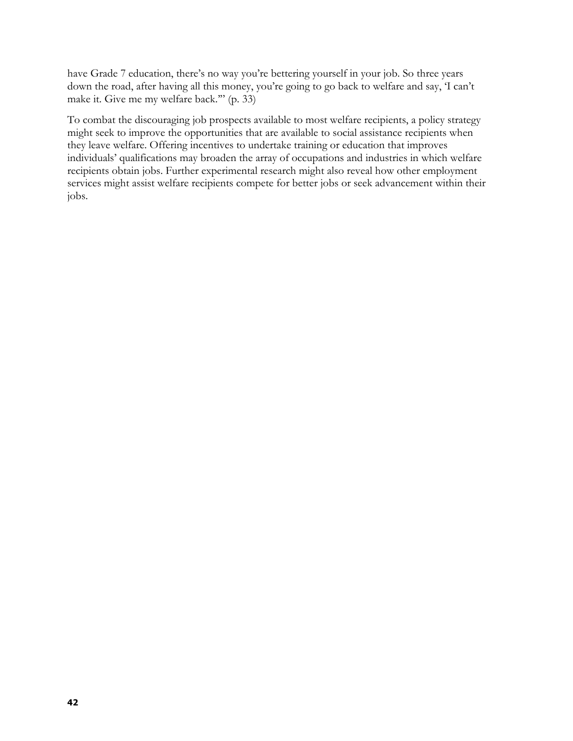have Grade 7 education, there's no way you're bettering yourself in your job. So three years down the road, after having all this money, you're going to go back to welfare and say, 'I can't make it. Give me my welfare back.'" (p. 33)

To combat the discouraging job prospects available to most welfare recipients, a policy strategy might seek to improve the opportunities that are available to social assistance recipients when they leave welfare. Offering incentives to undertake training or education that improves individuals' qualifications may broaden the array of occupations and industries in which welfare recipients obtain jobs. Further experimental research might also reveal how other employment services might assist welfare recipients compete for better jobs or seek advancement within their jobs.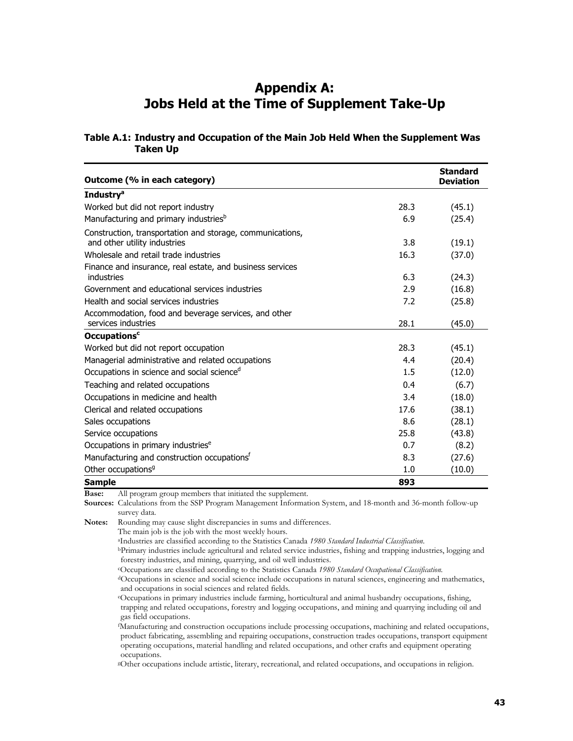### **Appendix A: Jobs Held at the Time of Supplement Take-Up**

#### **Table A.1: Industry and Occupation of the Main Job Held When the Supplement Was Taken Up**

| Outcome (% in each category)                                                              |         | <b>Standard</b><br><b>Deviation</b> |
|-------------------------------------------------------------------------------------------|---------|-------------------------------------|
| <b>Industry<sup>a</sup></b>                                                               |         |                                     |
| Worked but did not report industry                                                        | 28.3    | (45.1)                              |
| Manufacturing and primary industries <sup>b</sup>                                         | 6.9     | (25.4)                              |
| Construction, transportation and storage, communications,<br>and other utility industries | 3.8     | (19.1)                              |
| Wholesale and retail trade industries                                                     | 16.3    | (37.0)                              |
| Finance and insurance, real estate, and business services                                 |         |                                     |
| industries                                                                                | 6.3     | (24.3)                              |
| Government and educational services industries                                            | 2.9     | (16.8)                              |
| Health and social services industries                                                     | 7.2     | (25.8)                              |
| Accommodation, food and beverage services, and other                                      |         |                                     |
| services industries                                                                       | 28.1    | (45.0)                              |
| <b>Occupations<sup>c</sup></b>                                                            |         |                                     |
| Worked but did not report occupation                                                      | 28.3    | (45.1)                              |
| Managerial administrative and related occupations                                         | 4.4     | (20.4)                              |
| Occupations in science and social science <sup>d</sup>                                    | $1.5\,$ | (12.0)                              |
| Teaching and related occupations                                                          | 0.4     | (6.7)                               |
| Occupations in medicine and health                                                        | 3.4     | (18.0)                              |
| Clerical and related occupations                                                          | 17.6    | (38.1)                              |
| Sales occupations                                                                         | 8.6     | (28.1)                              |
| Service occupations                                                                       | 25.8    | (43.8)                              |
| Occupations in primary industries <sup>e</sup>                                            | 0.7     | (8.2)                               |
| Manufacturing and construction occupations <sup>T</sup>                                   | 8.3     | (27.6)                              |
| Other occupations <sup>9</sup>                                                            | 1.0     | (10.0)                              |
| <b>Sample</b>                                                                             | 893     |                                     |

**Base:** All program group members that initiated the supplement.

**Sources:** Calculations from the SSP Program Management Information System, and 18-month and 36-month follow-up survey data.

**Notes:** Rounding may cause slight discrepancies in sums and differences.

The main job is the job with the most weekly hours.<br><sup>a</sup>Industries are classified according to the Statistics Canada 1980 Standard Industrial Classification.

<sup>b</sup>Primary industries include agricultural and related service industries, fishing and trapping industries, logging and forestry industries, and mining, quarrying, and oil well industries.

<sup>c</sup>Occupations are classified according to the Statistics Canada 1980 Standard Occupational Classification.<br><sup>d</sup>Occupations in science and social science include occupations in natural sciences, engineering and mathematics, and occupations in social sciences and related fields.

eOccupations in primary industries include farming, horticultural and animal husbandry occupations, fishing, trapping and related occupations, forestry and logging occupations, and mining and quarrying including oil and gas field occupations.

f Manufacturing and construction occupations include processing occupations, machining and related occupations, product fabricating, assembling and repairing occupations, construction trades occupations, transport equipment operating occupations, material handling and related occupations, and other crafts and equipment operating occupations.

gOther occupations include artistic, literary, recreational, and related occupations, and occupations in religion.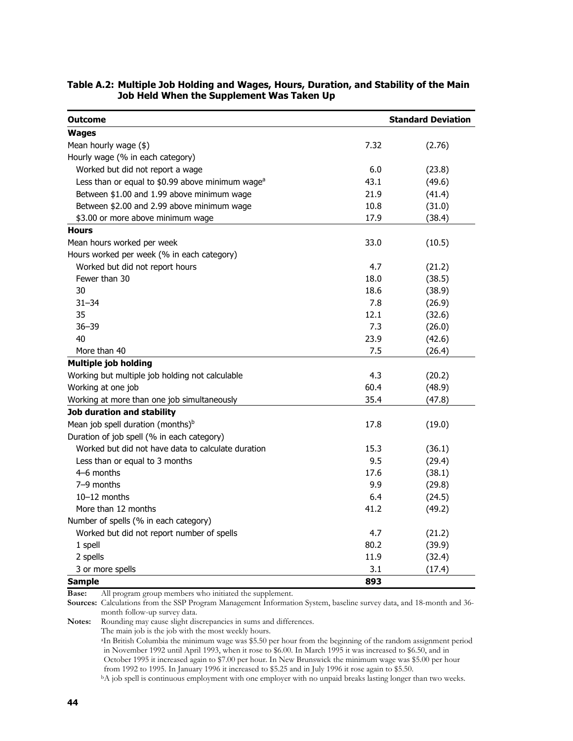| <b>Outcome</b>                                                |      | <b>Standard Deviation</b> |  |  |
|---------------------------------------------------------------|------|---------------------------|--|--|
| <b>Wages</b>                                                  |      |                           |  |  |
| Mean hourly wage (\$)                                         | 7.32 | (2.76)                    |  |  |
| Hourly wage (% in each category)                              |      |                           |  |  |
| Worked but did not report a wage                              | 6.0  | (23.8)                    |  |  |
| Less than or equal to $$0.99$ above minimum wage <sup>a</sup> | 43.1 | (49.6)                    |  |  |
| Between \$1.00 and 1.99 above minimum wage                    | 21.9 | (41.4)                    |  |  |
| Between \$2.00 and 2.99 above minimum wage                    | 10.8 | (31.0)                    |  |  |
| \$3.00 or more above minimum wage                             | 17.9 | (38.4)                    |  |  |
| <b>Hours</b>                                                  |      |                           |  |  |
| Mean hours worked per week                                    | 33.0 | (10.5)                    |  |  |
| Hours worked per week (% in each category)                    |      |                           |  |  |
| Worked but did not report hours                               | 4.7  | (21.2)                    |  |  |
| Fewer than 30                                                 | 18.0 | (38.5)                    |  |  |
| 30                                                            | 18.6 | (38.9)                    |  |  |
| $31 - 34$                                                     | 7.8  | (26.9)                    |  |  |
| 35                                                            | 12.1 | (32.6)                    |  |  |
| $36 - 39$                                                     | 7.3  | (26.0)                    |  |  |
| 40                                                            | 23.9 | (42.6)                    |  |  |
| More than 40                                                  | 7.5  | (26.4)                    |  |  |
| <b>Multiple job holding</b>                                   |      |                           |  |  |
| Working but multiple job holding not calculable               | 4.3  | (20.2)                    |  |  |
| Working at one job                                            | 60.4 | (48.9)                    |  |  |
| Working at more than one job simultaneously                   | 35.4 | (47.8)                    |  |  |
| Job duration and stability                                    |      |                           |  |  |
| Mean job spell duration (months) <sup>b</sup>                 | 17.8 | (19.0)                    |  |  |
| Duration of job spell (% in each category)                    |      |                           |  |  |
| Worked but did not have data to calculate duration            | 15.3 | (36.1)                    |  |  |
| Less than or equal to 3 months                                | 9.5  | (29.4)                    |  |  |
| 4–6 months                                                    | 17.6 | (38.1)                    |  |  |
| 7-9 months                                                    | 9.9  | (29.8)                    |  |  |
| $10-12$ months                                                | 6.4  | (24.5)                    |  |  |
| More than 12 months                                           | 41.2 | (49.2)                    |  |  |
| Number of spells (% in each category)                         |      |                           |  |  |
| Worked but did not report number of spells                    | 4.7  | (21.2)                    |  |  |
| 1 spell                                                       | 80.2 | (39.9)                    |  |  |
| 2 spells                                                      | 11.9 | (32.4)                    |  |  |
| 3 or more spells                                              | 3.1  | (17.4)                    |  |  |
| <b>Sample</b>                                                 | 893  |                           |  |  |

#### **Table A.2: Multiple Job Holding and Wages, Hours, Duration, and Stability of the Main Job Held When the Supplement Was Taken Up**

**Base:** All program group members who initiated the supplement.

**Sources:** Calculations from the SSP Program Management Information System, baseline survey data, and 18-month and 36 month follow-up survey data.

**Notes:** Rounding may cause slight discrepancies in sums and differences.

The main job is the job with the most weekly hours.

aIn British Columbia the minimum wage was \$5.50 per hour from the beginning of the random assignment period in November 1992 until April 1993, when it rose to \$6.00. In March 1995 it was increased to \$6.50, and in October 1995 it increased again to \$7.00 per hour. In New Brunswick the minimum wage was \$5.00 per hour

<sup>b</sup>A job spell is continuous employment with one employer with no unpaid breaks lasting longer than two weeks.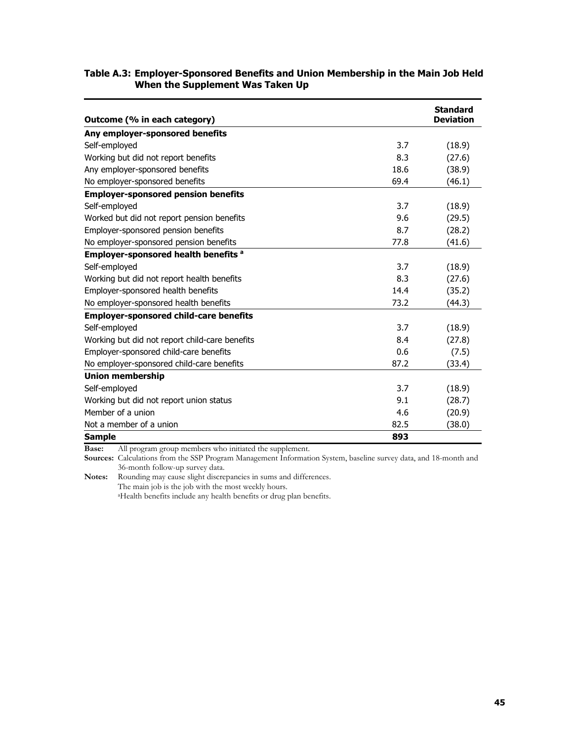#### **Table A.3: Employer-Sponsored Benefits and Union Membership in the Main Job Held When the Supplement Was Taken Up**

| Outcome (% in each category)                   |      | <b>Standard</b><br><b>Deviation</b> |
|------------------------------------------------|------|-------------------------------------|
| Any employer-sponsored benefits                |      |                                     |
| Self-employed                                  | 3.7  | (18.9)                              |
| Working but did not report benefits            | 8.3  | (27.6)                              |
| Any employer-sponsored benefits                | 18.6 | (38.9)                              |
| No employer-sponsored benefits                 | 69.4 | (46.1)                              |
| <b>Employer-sponsored pension benefits</b>     |      |                                     |
| Self-employed                                  | 3.7  | (18.9)                              |
| Worked but did not report pension benefits     | 9.6  | (29.5)                              |
| Employer-sponsored pension benefits            | 8.7  | (28.2)                              |
| No employer-sponsored pension benefits         | 77.8 | (41.6)                              |
| <b>Employer-sponsored health benefits a</b>    |      |                                     |
| Self-employed                                  | 3.7  | (18.9)                              |
| Working but did not report health benefits     | 8.3  | (27.6)                              |
| Employer-sponsored health benefits             | 14.4 | (35.2)                              |
| No employer-sponsored health benefits          | 73.2 | (44.3)                              |
| <b>Employer-sponsored child-care benefits</b>  |      |                                     |
| Self-employed                                  | 3.7  | (18.9)                              |
| Working but did not report child-care benefits | 8.4  | (27.8)                              |
| Employer-sponsored child-care benefits         | 0.6  | (7.5)                               |
| No employer-sponsored child-care benefits      | 87.2 | (33.4)                              |
| <b>Union membership</b>                        |      |                                     |
| Self-employed                                  | 3.7  | (18.9)                              |
| Working but did not report union status        | 9.1  | (28.7)                              |
| Member of a union                              | 4.6  | (20.9)                              |
| Not a member of a union                        | 82.5 | (38.0)                              |
| <b>Sample</b>                                  | 893  |                                     |

**Base:** All program group members who initiated the supplement.

**Sources:** Calculations from the SSP Program Management Information System, baseline survey data, and 18-month and 36-month follow-up survey data.

**Notes:** Rounding may cause slight discrepancies in sums and differences. The main job is the job with the most weekly hours. aHealth benefits include any health benefits or drug plan benefits.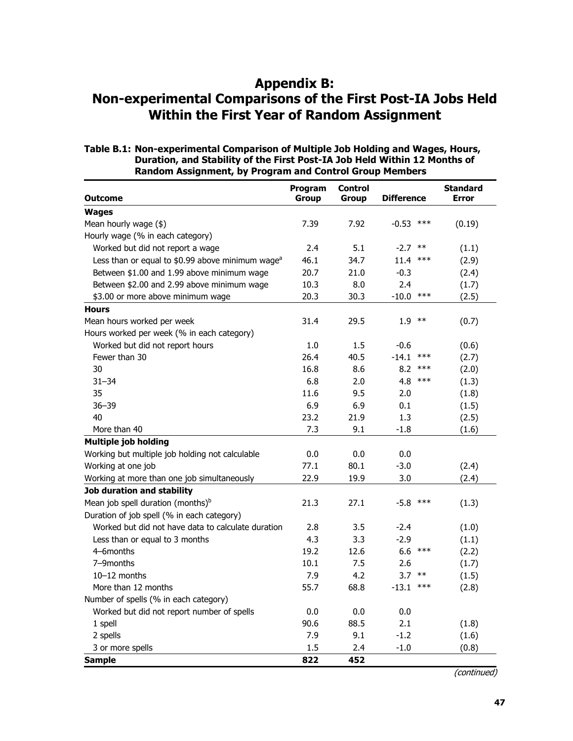### **Appendix B:**

#### **Non-experimental Comparisons of the First Post-IA Jobs Held Within the First Year of Random Assignment**

#### **Table B.1: Non-experimental Comparison of Multiple Job Holding and Wages, Hours, Duration, and Stability of the First Post-IA Job Held Within 12 Months of Random Assignment, by Program and Control Group Members**

| <b>Outcome</b>                                               | Program<br>Group | <b>Control</b><br>Group | <b>Difference</b> | <b>Standard</b><br><b>Error</b> |
|--------------------------------------------------------------|------------------|-------------------------|-------------------|---------------------------------|
| <b>Wages</b>                                                 |                  |                         |                   |                                 |
| Mean hourly wage (\$)                                        | 7.39             | 7.92                    | $-0.53$<br>$***$  | (0.19)                          |
| Hourly wage (% in each category)                             |                  |                         |                   |                                 |
| Worked but did not report a wage                             | 2.4              | 5.1                     | $-2.7$<br>$***$   | (1.1)                           |
| Less than or equal to \$0.99 above minimum wage <sup>a</sup> | 46.1             | 34.7                    | 11.4<br>$***$     | (2.9)                           |
| Between \$1.00 and 1.99 above minimum wage                   | 20.7             | 21.0                    | $-0.3$            | (2.4)                           |
| Between \$2.00 and 2.99 above minimum wage                   | 10.3             | 8.0                     | 2.4               | (1.7)                           |
| \$3.00 or more above minimum wage                            | 20.3             | 30.3                    | $-10.0$<br>$***$  | (2.5)                           |
| <b>Hours</b>                                                 |                  |                         |                   |                                 |
| Mean hours worked per week                                   | 31.4             | 29.5                    | 1.9<br>$***$      | (0.7)                           |
| Hours worked per week (% in each category)                   |                  |                         |                   |                                 |
| Worked but did not report hours                              | 1.0              | 1.5                     | $-0.6$            | (0.6)                           |
| Fewer than 30                                                | 26.4             | 40.5                    | $-14.1$<br>$***$  | (2.7)                           |
| 30                                                           | 16.8             | 8.6                     | 8.2<br>$***$      | (2.0)                           |
| $31 - 34$                                                    | 6.8              | 2.0                     | 4.8<br>$***$      | (1.3)                           |
| 35                                                           | 11.6             | 9.5                     | 2.0               | (1.8)                           |
| $36 - 39$                                                    | 6.9              | 6.9                     | 0.1               | (1.5)                           |
| 40                                                           | 23.2             | 21.9                    | 1.3               | (2.5)                           |
| More than 40                                                 | 7.3              | 9.1                     | $-1.8$            | (1.6)                           |
| <b>Multiple job holding</b>                                  |                  |                         |                   |                                 |
| Working but multiple job holding not calculable              | 0.0              | 0.0                     | 0.0               |                                 |
| Working at one job                                           | 77.1             | 80.1                    | $-3.0$            | (2.4)                           |
| Working at more than one job simultaneously                  | 22.9             | 19.9                    | 3.0               | (2.4)                           |
| Job duration and stability                                   |                  |                         |                   |                                 |
| Mean job spell duration (months) <sup>b</sup>                | 21.3             | 27.1                    | $***$<br>$-5.8$   | (1.3)                           |
| Duration of job spell (% in each category)                   |                  |                         |                   |                                 |
| Worked but did not have data to calculate duration           | 2.8              | 3.5                     | $-2.4$            | (1.0)                           |
| Less than or equal to 3 months                               | 4.3              | 3.3                     | $-2.9$            | (1.1)                           |
| 4-6months                                                    | 19.2             | 12.6                    | $6.6$ ***         | (2.2)                           |
| 7-9months                                                    | 10.1             | 7.5                     | 2.6               | (1.7)                           |
| $10-12$ months                                               | 7.9              | 4.2                     | 3.7<br>$***$      | (1.5)                           |
| More than 12 months                                          | 55.7             | 68.8                    | $***$<br>-13.1    | (2.8)                           |
| Number of spells (% in each category)                        |                  |                         |                   |                                 |
| Worked but did not report number of spells                   | 0.0              | 0.0                     | 0.0               |                                 |
| 1 spell                                                      | 90.6             | 88.5                    | 2.1               | (1.8)                           |
| 2 spells                                                     | 7.9              | 9.1                     | $-1.2$            | (1.6)                           |
| 3 or more spells                                             | 1.5              | 2.4                     | $-1.0$            | (0.8)                           |
| <b>Sample</b>                                                | 822              | 452                     |                   |                                 |

(continued)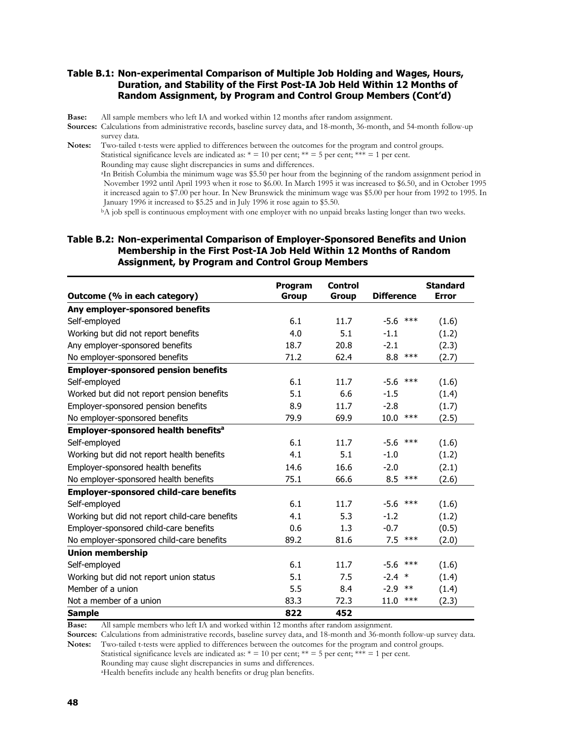#### **Table B.1: Non-experimental Comparison of Multiple Job Holding and Wages, Hours, Duration, and Stability of the First Post-IA Job Held Within 12 Months of Random Assignment, by Program and Control Group Members (Cont'd)**

**Base:** All sample members who left IA and worked within 12 months after random assignment.

**Sources:** Calculations from administrative records, baseline survey data, and 18-month, 36-month, and 54-month follow-up survey data.

**Notes:** Two-tailed t-tests were applied to differences between the outcomes for the program and control groups. Statistical significance levels are indicated as:  $* = 10$  per cent;  $** = 5$  per cent;  $*** = 1$  per cent. Rounding may cause slight discrepancies in sums and differences. aIn British Columbia the minimum wage was \$5.50 per hour from the beginning of the random assignment period in November 1992 until April 1993 when it rose to \$6.00. In March 1995 it was increased to \$6.50, and in October 1995 it increased again to \$7.00 per hour. In New Brunswick the minimum wage was \$5.00 per hour from 1992 to 1995. In January 1996 it increased to \$5.25 and in July 1996 it rose again to \$5.50.

bA job spell is continuous employment with one employer with no unpaid breaks lasting longer than two weeks.

#### **Table B.2: Non-experimental Comparison of Employer-Sponsored Benefits and Union Membership in the First Post-IA Job Held Within 12 Months of Random Assignment, by Program and Control Group Members**

|                                                 | Program      | <b>Control</b> |                   | <b>Standard</b> |
|-------------------------------------------------|--------------|----------------|-------------------|-----------------|
| Outcome (% in each category)                    | <b>Group</b> | <b>Group</b>   | <b>Difference</b> | <b>Error</b>    |
| Any employer-sponsored benefits                 |              |                |                   |                 |
| Self-employed                                   | 6.1          | 11.7           | $-5.6$ ***        | (1.6)           |
| Working but did not report benefits             | 4.0          | 5.1            | $-1.1$            | (1.2)           |
| Any employer-sponsored benefits                 | 18.7         | 20.8           | $-2.1$            | (2.3)           |
| No employer-sponsored benefits                  | 71.2         | 62.4           | 8.8<br>$***$      | (2.7)           |
| <b>Employer-sponsored pension benefits</b>      |              |                |                   |                 |
| Self-employed                                   | 6.1          | 11.7           | $-5.6$<br>***     | (1.6)           |
| Worked but did not report pension benefits      | 5.1          | 6.6            | $-1.5$            | (1.4)           |
| Employer-sponsored pension benefits             | 8.9          | 11.7           | $-2.8$            | (1.7)           |
| No employer-sponsored benefits                  | 79.9         | 69.9           | 10.0<br>$***$     | (2.5)           |
| Employer-sponsored health benefits <sup>a</sup> |              |                |                   |                 |
| Self-employed                                   | 6.1          | 11.7           | $-5.6$<br>***     | (1.6)           |
| Working but did not report health benefits      | 4.1          | 5.1            | $-1.0$            | (1.2)           |
| Employer-sponsored health benefits              | 14.6         | 16.6           | $-2.0$            | (2.1)           |
| No employer-sponsored health benefits           | 75.1         | 66.6           | $8.5$ ***         | (2.6)           |
| <b>Employer-sponsored child-care benefits</b>   |              |                |                   |                 |
| Self-employed                                   | 6.1          | 11.7           | $-5.6$<br>***     | (1.6)           |
| Working but did not report child-care benefits  | 4.1          | 5.3            | $-1.2$            | (1.2)           |
| Employer-sponsored child-care benefits          | 0.6          | 1.3            | $-0.7$            | (0.5)           |
| No employer-sponsored child-care benefits       | 89.2         | 81.6           | $***$<br>7.5      | (2.0)           |
| <b>Union membership</b>                         |              |                |                   |                 |
| Self-employed                                   | 6.1          | 11.7           | $-5.6$<br>***     | (1.6)           |
| Working but did not report union status         | 5.1          | 7.5            | $-2.4$ *          | (1.4)           |
| Member of a union                               | 5.5          | 8.4            | $-2.9$<br>$***$   | (1.4)           |
| Not a member of a union                         | 83.3         | 72.3           | $***$<br>11.0     | (2.3)           |
| <b>Sample</b>                                   | 822          | 452            |                   |                 |

**Base:** All sample members who left IA and worked within 12 months after random assignment.

**Sources:** Calculations from administrative records, baseline survey data, and 18-month and 36-month follow-up survey data. **Notes:** Two-tailed t-tests were applied to differences between the outcomes for the program and control groups.

Statistical significance levels are indicated as:  $* = 10$  per cent;  $** = 5$  per cent;  $*** = 1$  per cent.

Rounding may cause slight discrepancies in sums and differences.

aHealth benefits include any health benefits or drug plan benefits.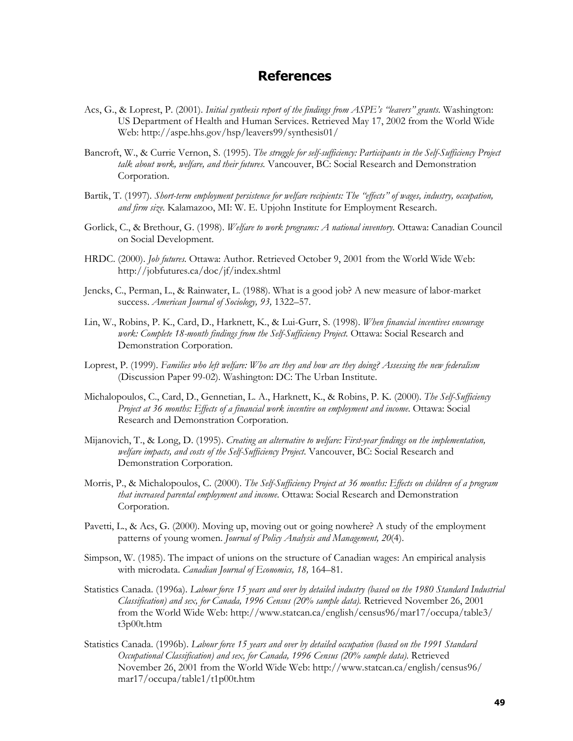#### **References**

- Acs, G., & Loprest, P. (2001). *Initial synthesis report of the findings from ASPE's "leavers" grants.* Washington: US Department of Health and Human Services. Retrieved May 17, 2002 from the World Wide Web: http://aspe.hhs.gov/hsp/leavers99/synthesis01/
- Bancroft, W., & Currie Vernon, S. (1995). *The struggle for self-sufficiency: Participants in the Self-Sufficiency Project talk about work, welfare, and their futures.* Vancouver, BC: Social Research and Demonstration Corporation.
- Bartik, T. (1997). *Short-term employment persistence for welfare recipients: The "effects" of wages, industry, occupation, and firm size.* Kalamazoo, MI: W. E. Upjohn Institute for Employment Research.
- Gorlick, C., & Brethour, G. (1998). *Welfare to work programs: A national inventory.* Ottawa: Canadian Council on Social Development.
- HRDC. (2000). *Job futures.* Ottawa: Author. Retrieved October 9, 2001 from the World Wide Web: http://jobfutures.ca/doc/jf/index.shtml
- Jencks, C., Perman, L., & Rainwater, L. (1988). What is a good job? A new measure of labor-market success. *American Journal of Sociology, 93,* 1322–57.
- Lin, W., Robins, P. K., Card, D., Harknett, K., & Lui-Gurr, S. (1998). *When financial incentives encourage work: Complete 18-month findings from the Self-Sufficiency Project.* Ottawa: Social Research and Demonstration Corporation.
- Loprest, P. (1999). *Families who left welfare: Who are they and how are they doing? Assessing the new federalism* (Discussion Paper 99-02). Washington: DC: The Urban Institute.
- Michalopoulos, C., Card, D., Gennetian, L. A., Harknett, K., & Robins, P. K. (2000). *The Self-Sufficiency Project at 36 months: Effects of a financial work incentive on employment and income*. Ottawa: Social Research and Demonstration Corporation.
- Mijanovich, T., & Long, D. (1995). *Creating an alternative to welfare: First-year findings on the implementation, welfare impacts, and costs of the Self-Sufficiency Project*. Vancouver, BC: Social Research and Demonstration Corporation.
- Morris, P., & Michalopoulos, C. (2000). *The Self-Sufficiency Project at 36 months: Effects on children of a program that increased parental employment and income.* Ottawa: Social Research and Demonstration Corporation.
- Pavetti, L., & Acs, G. (2000). Moving up, moving out or going nowhere? A study of the employment patterns of young women. *Journal of Policy Analysis and Management, 20*(4).
- Simpson, W. (1985). The impact of unions on the structure of Canadian wages: An empirical analysis with microdata. *Canadian Journal of Economics, 18,* 164–81.
- Statistics Canada. (1996a). *Labour force 15 years and over by detailed industry (based on the 1980 Standard Industrial Classification) and sex, for Canada, 1996 Census (20% sample data).* Retrieved November 26, 2001 from the World Wide Web: http://www.statcan.ca/english/census96/mar17/occupa/table3/ t3p00t.htm
- Statistics Canada. (1996b). *Labour force 15 years and over by detailed occupation (based on the 1991 Standard Occupational Classification) and sex, for Canada, 1996 Census (20% sample data).* Retrieved November 26, 2001 from the World Wide Web: http://www.statcan.ca/english/census96/ mar17/occupa/table1/t1p00t.htm